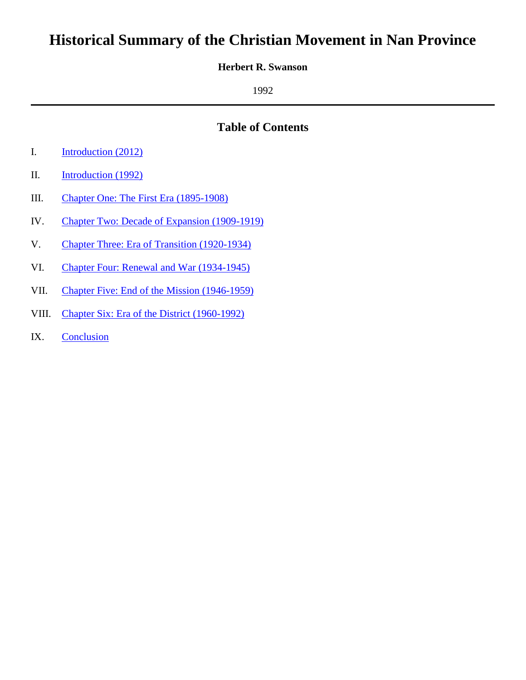# **Historical Summary of the Christian Movement in Nan Province**

#### **Herbert R. Swanson**

1992

## **Table of Contents**

- I. [Introduction \(2012\)](#page-1-0)
- II. [Introduction \(1992\)](#page-3-0)
- III. Chapter One: [The First Era \(1895-1908\)](#page-4-0)
- IV. Chapter Two: [Decade of Expansion \(1909-1919\)](#page-8-0)
- V. Chapter Three: [Era of Transition \(1920-1934\)](#page-13-0)
- VI. Chapter Four: [Renewal and War \(1934-1945\)](#page-17-0)
- VII. Chapter Five: [End of the Mission \(1946-1959\)](#page-21-0)
- VIII. Chapter Six: [Era of the District \(1960-1992\)](#page-25-0)
- IX. [Conclusion](#page-29-0)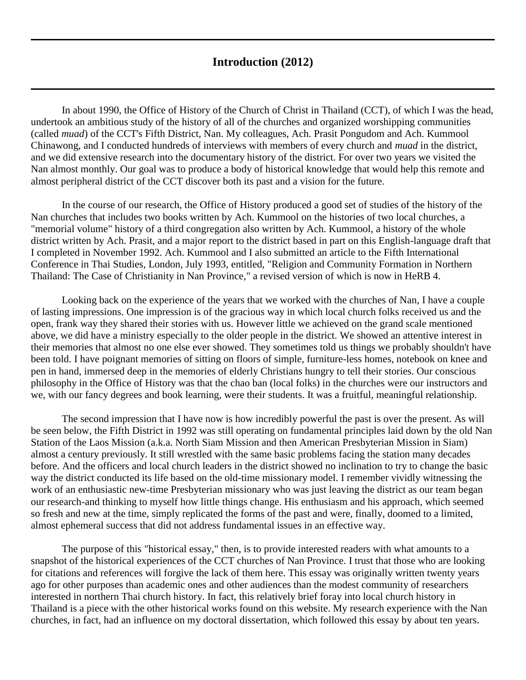## **Introduction (2012)**

<span id="page-1-0"></span>In about 1990, the Office of History of the Church of Christ in Thailand (CCT), of which I was the head, undertook an ambitious study of the history of all of the churches and organized worshipping communities (called *muad*) of the CCT's Fifth District, Nan. My colleagues, Ach. Prasit Pongudom and Ach. Kummool Chinawong, and I conducted hundreds of interviews with members of every church and *muad* in the district, and we did extensive research into the documentary history of the district. For over two years we visited the Nan almost monthly. Our goal was to produce a body of historical knowledge that would help this remote and almost peripheral district of the CCT discover both its past and a vision for the future.

In the course of our research, the Office of History produced a good set of studies of the history of the Nan churches that includes two books written by Ach. Kummool on the histories of two local churches, a "memorial volume" history of a third congregation also written by Ach. Kummool, a history of the whole district written by Ach. Prasit, and a major report to the district based in part on this English-language draft that I completed in November 1992. Ach. Kummool and I also submitted an article to the Fifth International Conference in Thai Studies, London, July 1993, entitled, ["Religion and Community Formation in Northern](https://herbswanson.com/post.php?pid=20#article1)  [Thailand: The Case of Christianity in Nan Province,](https://herbswanson.com/post.php?pid=20#article1)" a revised version of which is now in HeRB 4.

Looking back on the experience of the years that we worked with the churches of Nan, I have a couple of lasting impressions. One impression is of the gracious way in which local church folks received us and the open, frank way they shared their stories with us. However little we achieved on the grand scale mentioned above, we did have a ministry especially to the older people in the district. We showed an attentive interest in their memories that almost no one else ever showed. They sometimes told us things we probably shouldn't have been told. I have poignant memories of sitting on floors of simple, furniture-less homes, notebook on knee and pen in hand, immersed deep in the memories of elderly Christians hungry to tell their stories. Our conscious philosophy in the Office of History was that the chao ban (local folks) in the churches were our instructors and we, with our fancy degrees and book learning, were their students. It was a fruitful, meaningful relationship.

The second impression that I have now is how incredibly powerful the past is over the present. As will be seen below, the Fifth District in 1992 was still operating on fundamental principles laid down by the old Nan Station of the Laos Mission (a.k.a. North Siam Mission and then American Presbyterian Mission in Siam) almost a century previously. It still wrestled with the same basic problems facing the station many decades before. And the officers and local church leaders in the district showed no inclination to try to change the basic way the district conducted its life based on the old-time missionary model. I remember vividly witnessing the work of an enthusiastic new-time Presbyterian missionary who was just leaving the district as our team began our research-and thinking to myself how little things change. His enthusiasm and his approach, which seemed so fresh and new at the time, simply replicated the forms of the past and were, finally, doomed to a limited, almost ephemeral success that did not address fundamental issues in an effective way.

The purpose of this "historical essay," then, is to provide interested readers with what amounts to a snapshot of the historical experiences of the CCT churches of Nan Province. I trust that those who are looking for citations and references will forgive the lack of them here. This essay was originally written twenty years ago for other purposes than academic ones and other audiences than the modest community of researchers interested in northern Thai church history. In fact, this relatively brief foray into local church history in Thailand is a piece with the other historical works found on this website. My research experience with the Nan churches, in fact, had an influence on my [doctoral dissertation,](https://herbswanson.com/post.php?pid=59) which followed this essay by about ten years.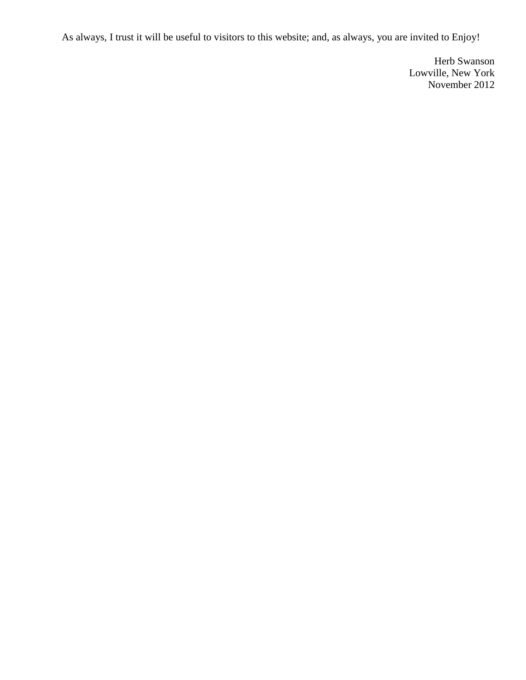As always, I trust it will be useful to visitors to this website; and, as always, you are invited to Enjoy!

Herb Swanson Lowville, New York November 2012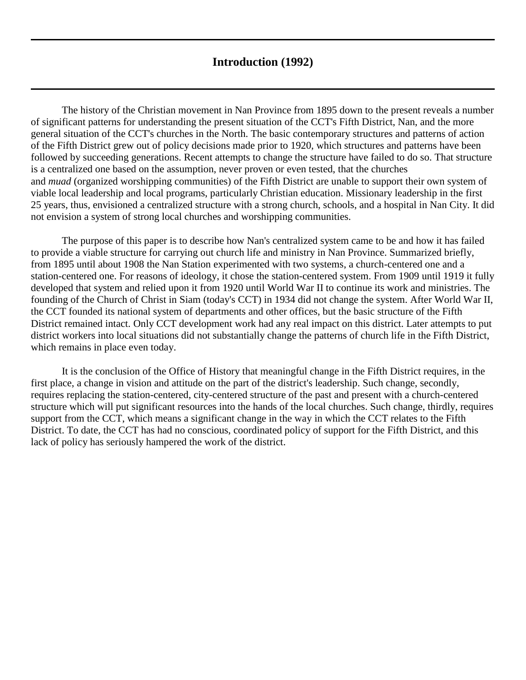## **Introduction (1992)**

<span id="page-3-0"></span>The history of the Christian movement in Nan Province from 1895 down to the present reveals a number of significant patterns for understanding the present situation of the CCT's Fifth District, Nan, and the more general situation of the CCT's churches in the North. The basic contemporary structures and patterns of action of the Fifth District grew out of policy decisions made prior to 1920, which structures and patterns have been followed by succeeding generations. Recent attempts to change the structure have failed to do so. That structure is a centralized one based on the assumption, never proven or even tested, that the churches and *muad* (organized worshipping communities) of the Fifth District are unable to support their own system of viable local leadership and local programs, particularly Christian education. Missionary leadership in the first 25 years, thus, envisioned a centralized structure with a strong church, schools, and a hospital in Nan City. It did not envision a system of strong local churches and worshipping communities.

The purpose of this paper is to describe how Nan's centralized system came to be and how it has failed to provide a viable structure for carrying out church life and ministry in Nan Province. Summarized briefly, from 1895 until about 1908 the Nan Station experimented with two systems, a church-centered one and a station-centered one. For reasons of ideology, it chose the station-centered system. From 1909 until 1919 it fully developed that system and relied upon it from 1920 until World War II to continue its work and ministries. The founding of the Church of Christ in Siam (today's CCT) in 1934 did not change the system. After World War II, the CCT founded its national system of departments and other offices, but the basic structure of the Fifth District remained intact. Only CCT development work had any real impact on this district. Later attempts to put district workers into local situations did not substantially change the patterns of church life in the Fifth District, which remains in place even today.

It is the conclusion of the Office of History that meaningful change in the Fifth District requires, in the first place, a change in vision and attitude on the part of the district's leadership. Such change, secondly, requires replacing the station-centered, city-centered structure of the past and present with a church-centered structure which will put significant resources into the hands of the local churches. Such change, thirdly, requires support from the CCT, which means a significant change in the way in which the CCT relates to the Fifth District. To date, the CCT has had no conscious, coordinated policy of support for the Fifth District, and this lack of policy has seriously hampered the work of the district.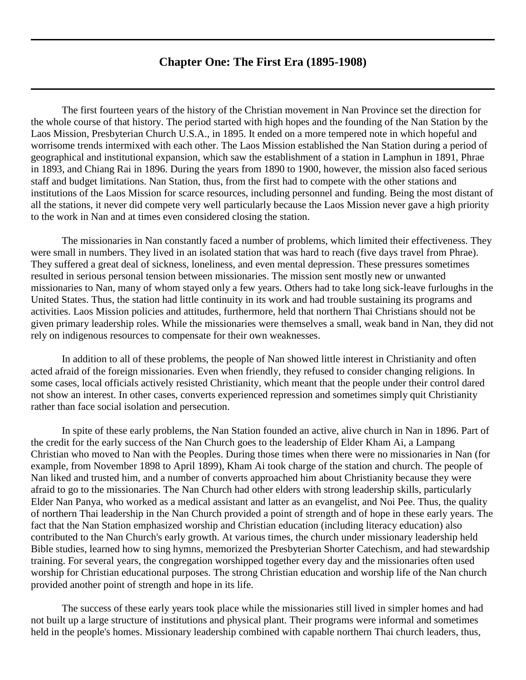## **Chapter One: The First Era (1895-1908)**

<span id="page-4-0"></span>The first fourteen years of the history of the Christian movement in Nan Province set the direction for the whole course of that history. The period started with high hopes and the founding of the Nan Station by the Laos Mission, Presbyterian Church U.S.A., in 1895. It ended on a more tempered note in which hopeful and worrisome trends intermixed with each other. The Laos Mission established the Nan Station during a period of geographical and institutional expansion, which saw the establishment of a station in Lamphun in 1891, Phrae in 1893, and Chiang Rai in 1896. During the years from 1890 to 1900, however, the mission also faced serious staff and budget limitations. Nan Station, thus, from the first had to compete with the other stations and institutions of the Laos Mission for scarce resources, including personnel and funding. Being the most distant of all the stations, it never did compete very well particularly because the Laos Mission never gave a high priority to the work in Nan and at times even considered closing the station.

The missionaries in Nan constantly faced a number of problems, which limited their effectiveness. They were small in numbers. They lived in an isolated station that was hard to reach (five days travel from Phrae). They suffered a great deal of sickness, loneliness, and even mental depression. These pressures sometimes resulted in serious personal tension between missionaries. The mission sent mostly new or unwanted missionaries to Nan, many of whom stayed only a few years. Others had to take long sick-leave furloughs in the United States. Thus, the station had little continuity in its work and had trouble sustaining its programs and activities. Laos Mission policies and attitudes, furthermore, held that northern Thai Christians should not be given primary leadership roles. While the missionaries were themselves a small, weak band in Nan, they did not rely on indigenous resources to compensate for their own weaknesses.

In addition to all of these problems, the people of Nan showed little interest in Christianity and often acted afraid of the foreign missionaries. Even when friendly, they refused to consider changing religions. In some cases, local officials actively resisted Christianity, which meant that the people under their control dared not show an interest. In other cases, converts experienced repression and sometimes simply quit Christianity rather than face social isolation and persecution.

In spite of these early problems, the Nan Station founded an active, alive church in Nan in 1896. Part of the credit for the early success of the Nan Church goes to the leadership of Elder Kham Ai, a Lampang Christian who moved to Nan with the Peoples. During those times when there were no missionaries in Nan (for example, from November 1898 to April 1899), Kham Ai took charge of the station and church. The people of Nan liked and trusted him, and a number of converts approached him about Christianity because they were afraid to go to the missionaries. The Nan Church had other elders with strong leadership skills, particularly Elder Nan Panya, who worked as a medical assistant and latter as an evangelist, and Noi Pee. Thus, the quality of northern Thai leadership in the Nan Church provided a point of strength and of hope in these early years. The fact that the Nan Station emphasized worship and Christian education (including literacy education) also contributed to the Nan Church's early growth. At various times, the church under missionary leadership held Bible studies, learned how to sing hymns, memorized the Presbyterian Shorter Catechism, and had stewardship training. For several years, the congregation worshipped together every day and the missionaries often used worship for Christian educational purposes. The strong Christian education and worship life of the Nan church provided another point of strength and hope in its life.

The success of these early years took place while the missionaries still lived in simpler homes and had not built up a large structure of institutions and physical plant. Their programs were informal and sometimes held in the people's homes. Missionary leadership combined with capable northern Thai church leaders, thus,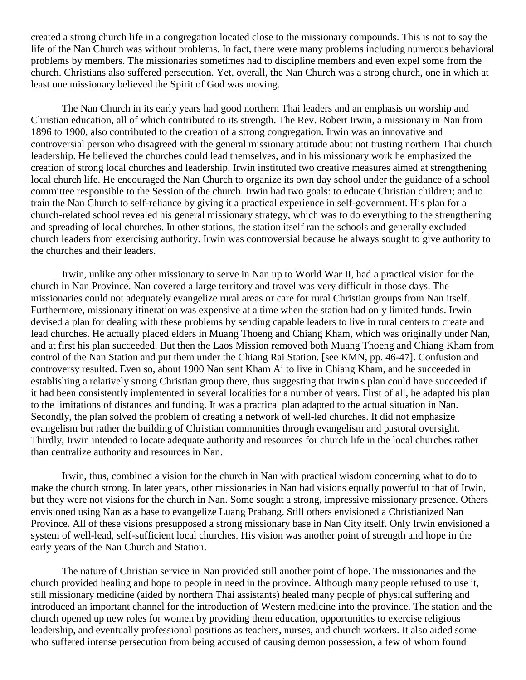created a strong church life in a congregation located close to the missionary compounds. This is not to say the life of the Nan Church was without problems. In fact, there were many problems including numerous behavioral problems by members. The missionaries sometimes had to discipline members and even expel some from the church. Christians also suffered persecution. Yet, overall, the Nan Church was a strong church, one in which at least one missionary believed the Spirit of God was moving.

The Nan Church in its early years had good northern Thai leaders and an emphasis on worship and Christian education, all of which contributed to its strength. The Rev. Robert Irwin, a missionary in Nan from 1896 to 1900, also contributed to the creation of a strong congregation. Irwin was an innovative and controversial person who disagreed with the general missionary attitude about not trusting northern Thai church leadership. He believed the churches could lead themselves, and in his missionary work he emphasized the creation of strong local churches and leadership. Irwin instituted two creative measures aimed at strengthening local church life. He encouraged the Nan Church to organize its own day school under the guidance of a school committee responsible to the Session of the church. Irwin had two goals: to educate Christian children; and to train the Nan Church to self-reliance by giving it a practical experience in self-government. His plan for a church-related school revealed his general missionary strategy, which was to do everything to the strengthening and spreading of local churches. In other stations, the station itself ran the schools and generally excluded church leaders from exercising authority. Irwin was controversial because he always sought to give authority to the churches and their leaders.

Irwin, unlike any other missionary to serve in Nan up to World War II, had a practical vision for the church in Nan Province. Nan covered a large territory and travel was very difficult in those days. The missionaries could not adequately evangelize rural areas or care for rural Christian groups from Nan itself. Furthermore, missionary itineration was expensive at a time when the station had only limited funds. Irwin devised a plan for dealing with these problems by sending capable leaders to live in rural centers to create and lead churches. He actually placed elders in Muang Thoeng and Chiang Kham, which was originally under Nan, and at first his plan succeeded. But then the Laos Mission removed both Muang Thoeng and Chiang Kham from control of the Nan Station and put them under the Chiang Rai Station. [see KMN, pp. 46-47]. Confusion and controversy resulted. Even so, about 1900 Nan sent Kham Ai to live in Chiang Kham, and he succeeded in establishing a relatively strong Christian group there, thus suggesting that Irwin's plan could have succeeded if it had been consistently implemented in several localities for a number of years. First of all, he adapted his plan to the limitations of distances and funding. It was a practical plan adapted to the actual situation in Nan. Secondly, the plan solved the problem of creating a network of well-led churches. It did not emphasize evangelism but rather the building of Christian communities through evangelism and pastoral oversight. Thirdly, Irwin intended to locate adequate authority and resources for church life in the local churches rather than centralize authority and resources in Nan.

Irwin, thus, combined a vision for the church in Nan with practical wisdom concerning what to do to make the church strong. In later years, other missionaries in Nan had visions equally powerful to that of Irwin, but they were not visions for the church in Nan. Some sought a strong, impressive missionary presence. Others envisioned using Nan as a base to evangelize Luang Prabang. Still others envisioned a Christianized Nan Province. All of these visions presupposed a strong missionary base in Nan City itself. Only Irwin envisioned a system of well-lead, self-sufficient local churches. His vision was another point of strength and hope in the early years of the Nan Church and Station.

The nature of Christian service in Nan provided still another point of hope. The missionaries and the church provided healing and hope to people in need in the province. Although many people refused to use it, still missionary medicine (aided by northern Thai assistants) healed many people of physical suffering and introduced an important channel for the introduction of Western medicine into the province. The station and the church opened up new roles for women by providing them education, opportunities to exercise religious leadership, and eventually professional positions as teachers, nurses, and church workers. It also aided some who suffered intense persecution from being accused of causing demon possession, a few of whom found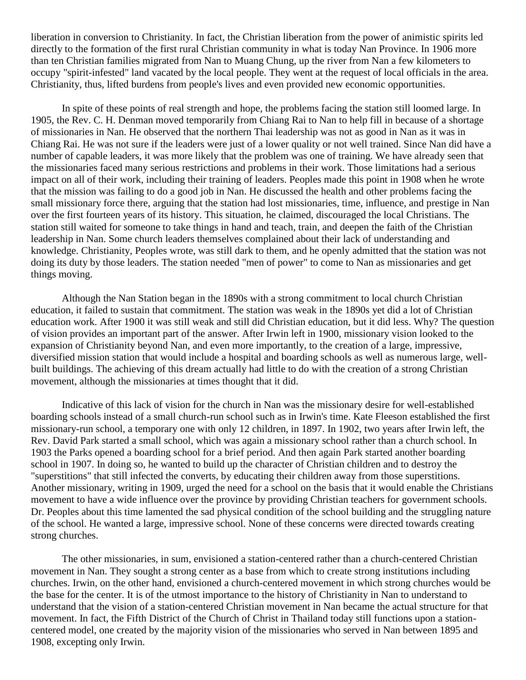liberation in conversion to Christianity. In fact, the Christian liberation from the power of animistic spirits led directly to the formation of the first rural Christian community in what is today Nan Province. In 1906 more than ten Christian families migrated from Nan to Muang Chung, up the river from Nan a few kilometers to occupy "spirit-infested" land vacated by the local people. They went at the request of local officials in the area. Christianity, thus, lifted burdens from people's lives and even provided new economic opportunities.

In spite of these points of real strength and hope, the problems facing the station still loomed large. In 1905, the Rev. C. H. Denman moved temporarily from Chiang Rai to Nan to help fill in because of a shortage of missionaries in Nan. He observed that the northern Thai leadership was not as good in Nan as it was in Chiang Rai. He was not sure if the leaders were just of a lower quality or not well trained. Since Nan did have a number of capable leaders, it was more likely that the problem was one of training. We have already seen that the missionaries faced many serious restrictions and problems in their work. Those limitations had a serious impact on all of their work, including their training of leaders. Peoples made this point in 1908 when he wrote that the mission was failing to do a good job in Nan. He discussed the health and other problems facing the small missionary force there, arguing that the station had lost missionaries, time, influence, and prestige in Nan over the first fourteen years of its history. This situation, he claimed, discouraged the local Christians. The station still waited for someone to take things in hand and teach, train, and deepen the faith of the Christian leadership in Nan. Some church leaders themselves complained about their lack of understanding and knowledge. Christianity, Peoples wrote, was still dark to them, and he openly admitted that the station was not doing its duty by those leaders. The station needed "men of power" to come to Nan as missionaries and get things moving.

Although the Nan Station began in the 1890s with a strong commitment to local church Christian education, it failed to sustain that commitment. The station was weak in the 1890s yet did a lot of Christian education work. After 1900 it was still weak and still did Christian education, but it did less. Why? The question of vision provides an important part of the answer. After Irwin left in 1900, missionary vision looked to the expansion of Christianity beyond Nan, and even more importantly, to the creation of a large, impressive, diversified mission station that would include a hospital and boarding schools as well as numerous large, wellbuilt buildings. The achieving of this dream actually had little to do with the creation of a strong Christian movement, although the missionaries at times thought that it did.

Indicative of this lack of vision for the church in Nan was the missionary desire for well-established boarding schools instead of a small church-run school such as in Irwin's time. Kate Fleeson established the first missionary-run school, a temporary one with only 12 children, in 1897. In 1902, two years after Irwin left, the Rev. David Park started a small school, which was again a missionary school rather than a church school. In 1903 the Parks opened a boarding school for a brief period. And then again Park started another boarding school in 1907. In doing so, he wanted to build up the character of Christian children and to destroy the "superstitions" that still infected the converts, by educating their children away from those superstitions. Another missionary, writing in 1909, urged the need for a school on the basis that it would enable the Christians movement to have a wide influence over the province by providing Christian teachers for government schools. Dr. Peoples about this time lamented the sad physical condition of the school building and the struggling nature of the school. He wanted a large, impressive school. None of these concerns were directed towards creating strong churches.

The other missionaries, in sum, envisioned a station-centered rather than a church-centered Christian movement in Nan. They sought a strong center as a base from which to create strong institutions including churches. Irwin, on the other hand, envisioned a church-centered movement in which strong churches would be the base for the center. It is of the utmost importance to the history of Christianity in Nan to understand to understand that the vision of a station-centered Christian movement in Nan became the actual structure for that movement. In fact, the Fifth District of the Church of Christ in Thailand today still functions upon a stationcentered model, one created by the majority vision of the missionaries who served in Nan between 1895 and 1908, excepting only Irwin.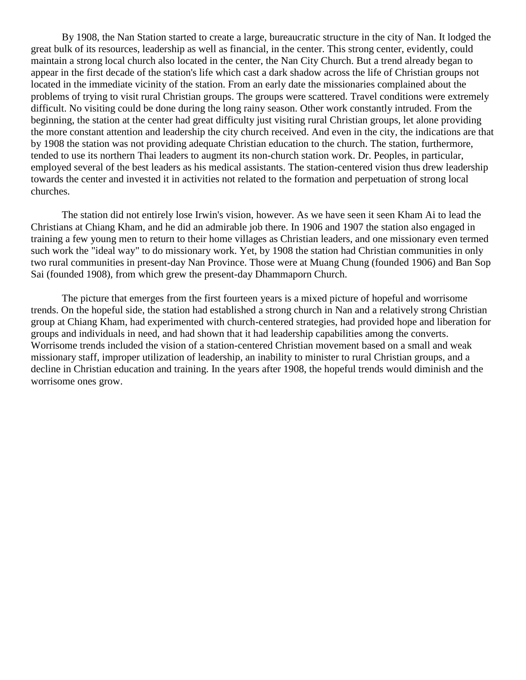By 1908, the Nan Station started to create a large, bureaucratic structure in the city of Nan. It lodged the great bulk of its resources, leadership as well as financial, in the center. This strong center, evidently, could maintain a strong local church also located in the center, the Nan City Church. But a trend already began to appear in the first decade of the station's life which cast a dark shadow across the life of Christian groups not located in the immediate vicinity of the station. From an early date the missionaries complained about the problems of trying to visit rural Christian groups. The groups were scattered. Travel conditions were extremely difficult. No visiting could be done during the long rainy season. Other work constantly intruded. From the beginning, the station at the center had great difficulty just visiting rural Christian groups, let alone providing the more constant attention and leadership the city church received. And even in the city, the indications are that by 1908 the station was not providing adequate Christian education to the church. The station, furthermore, tended to use its northern Thai leaders to augment its non-church station work. Dr. Peoples, in particular, employed several of the best leaders as his medical assistants. The station-centered vision thus drew leadership towards the center and invested it in activities not related to the formation and perpetuation of strong local churches.

The station did not entirely lose Irwin's vision, however. As we have seen it seen Kham Ai to lead the Christians at Chiang Kham, and he did an admirable job there. In 1906 and 1907 the station also engaged in training a few young men to return to their home villages as Christian leaders, and one missionary even termed such work the "ideal way" to do missionary work. Yet, by 1908 the station had Christian communities in only two rural communities in present-day Nan Province. Those were at Muang Chung (founded 1906) and Ban Sop Sai (founded 1908), from which grew the present-day Dhammaporn Church.

The picture that emerges from the first fourteen years is a mixed picture of hopeful and worrisome trends. On the hopeful side, the station had established a strong church in Nan and a relatively strong Christian group at Chiang Kham, had experimented with church-centered strategies, had provided hope and liberation for groups and individuals in need, and had shown that it had leadership capabilities among the converts. Worrisome trends included the vision of a station-centered Christian movement based on a small and weak missionary staff, improper utilization of leadership, an inability to minister to rural Christian groups, and a decline in Christian education and training. In the years after 1908, the hopeful trends would diminish and the worrisome ones grow.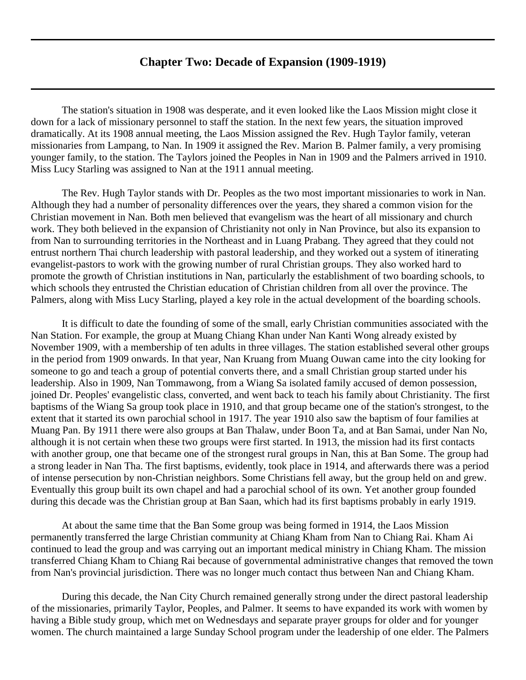## **Chapter Two: Decade of Expansion (1909-1919)**

<span id="page-8-0"></span>The station's situation in 1908 was desperate, and it even looked like the Laos Mission might close it down for a lack of missionary personnel to staff the station. In the next few years, the situation improved dramatically. At its 1908 annual meeting, the Laos Mission assigned the Rev. Hugh Taylor family, veteran missionaries from Lampang, to Nan. In 1909 it assigned the Rev. Marion B. Palmer family, a very promising younger family, to the station. The Taylors joined the Peoples in Nan in 1909 and the Palmers arrived in 1910. Miss Lucy Starling was assigned to Nan at the 1911 annual meeting.

The Rev. Hugh Taylor stands with Dr. Peoples as the two most important missionaries to work in Nan. Although they had a number of personality differences over the years, they shared a common vision for the Christian movement in Nan. Both men believed that evangelism was the heart of all missionary and church work. They both believed in the expansion of Christianity not only in Nan Province, but also its expansion to from Nan to surrounding territories in the Northeast and in Luang Prabang. They agreed that they could not entrust northern Thai church leadership with pastoral leadership, and they worked out a system of itinerating evangelist-pastors to work with the growing number of rural Christian groups. They also worked hard to promote the growth of Christian institutions in Nan, particularly the establishment of two boarding schools, to which schools they entrusted the Christian education of Christian children from all over the province. The Palmers, along with Miss Lucy Starling, played a key role in the actual development of the boarding schools.

It is difficult to date the founding of some of the small, early Christian communities associated with the Nan Station. For example, the group at Muang Chiang Khan under Nan Kanti Wong already existed by November 1909, with a membership of ten adults in three villages. The station established several other groups in the period from 1909 onwards. In that year, Nan Kruang from Muang Ouwan came into the city looking for someone to go and teach a group of potential converts there, and a small Christian group started under his leadership. Also in 1909, Nan Tommawong, from a Wiang Sa isolated family accused of demon possession, joined Dr. Peoples' evangelistic class, converted, and went back to teach his family about Christianity. The first baptisms of the Wiang Sa group took place in 1910, and that group became one of the station's strongest, to the extent that it started its own parochial school in 1917. The year 1910 also saw the baptism of four families at Muang Pan. By 1911 there were also groups at Ban Thalaw, under Boon Ta, and at Ban Samai, under Nan No, although it is not certain when these two groups were first started. In 1913, the mission had its first contacts with another group, one that became one of the strongest rural groups in Nan, this at Ban Some. The group had a strong leader in Nan Tha. The first baptisms, evidently, took place in 1914, and afterwards there was a period of intense persecution by non-Christian neighbors. Some Christians fell away, but the group held on and grew. Eventually this group built its own chapel and had a parochial school of its own. Yet another group founded during this decade was the Christian group at Ban Saan, which had its first baptisms probably in early 1919.

At about the same time that the Ban Some group was being formed in 1914, the Laos Mission permanently transferred the large Christian community at Chiang Kham from Nan to Chiang Rai. Kham Ai continued to lead the group and was carrying out an important medical ministry in Chiang Kham. The mission transferred Chiang Kham to Chiang Rai because of governmental administrative changes that removed the town from Nan's provincial jurisdiction. There was no longer much contact thus between Nan and Chiang Kham.

During this decade, the Nan City Church remained generally strong under the direct pastoral leadership of the missionaries, primarily Taylor, Peoples, and Palmer. It seems to have expanded its work with women by having a Bible study group, which met on Wednesdays and separate prayer groups for older and for younger women. The church maintained a large Sunday School program under the leadership of one elder. The Palmers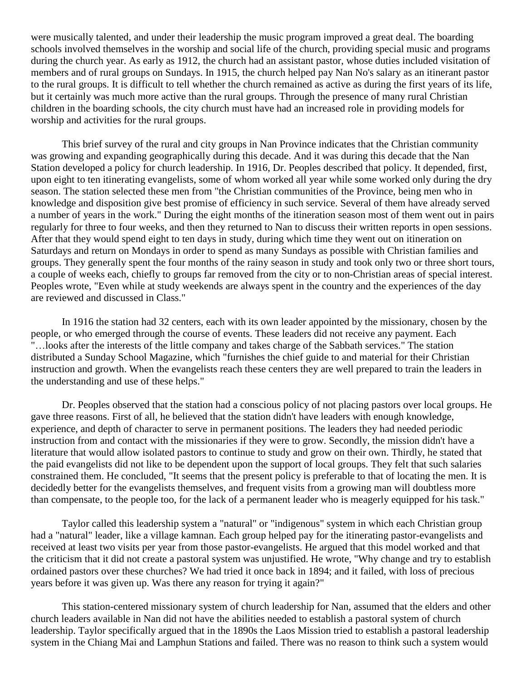were musically talented, and under their leadership the music program improved a great deal. The boarding schools involved themselves in the worship and social life of the church, providing special music and programs during the church year. As early as 1912, the church had an assistant pastor, whose duties included visitation of members and of rural groups on Sundays. In 1915, the church helped pay Nan No's salary as an itinerant pastor to the rural groups. It is difficult to tell whether the church remained as active as during the first years of its life, but it certainly was much more active than the rural groups. Through the presence of many rural Christian children in the boarding schools, the city church must have had an increased role in providing models for worship and activities for the rural groups.

This brief survey of the rural and city groups in Nan Province indicates that the Christian community was growing and expanding geographically during this decade. And it was during this decade that the Nan Station developed a policy for church leadership. In 1916, Dr. Peoples described that policy. It depended, first, upon eight to ten itinerating evangelists, some of whom worked all year while some worked only during the dry season. The station selected these men from "the Christian communities of the Province, being men who in knowledge and disposition give best promise of efficiency in such service. Several of them have already served a number of years in the work." During the eight months of the itineration season most of them went out in pairs regularly for three to four weeks, and then they returned to Nan to discuss their written reports in open sessions. After that they would spend eight to ten days in study, during which time they went out on itineration on Saturdays and return on Mondays in order to spend as many Sundays as possible with Christian families and groups. They generally spent the four months of the rainy season in study and took only two or three short tours, a couple of weeks each, chiefly to groups far removed from the city or to non-Christian areas of special interest. Peoples wrote, "Even while at study weekends are always spent in the country and the experiences of the day are reviewed and discussed in Class."

In 1916 the station had 32 centers, each with its own leader appointed by the missionary, chosen by the people, or who emerged through the course of events. These leaders did not receive any payment. Each "…looks after the interests of the little company and takes charge of the Sabbath services." The station distributed a Sunday School Magazine, which "furnishes the chief guide to and material for their Christian instruction and growth. When the evangelists reach these centers they are well prepared to train the leaders in the understanding and use of these helps."

Dr. Peoples observed that the station had a conscious policy of not placing pastors over local groups. He gave three reasons. First of all, he believed that the station didn't have leaders with enough knowledge, experience, and depth of character to serve in permanent positions. The leaders they had needed periodic instruction from and contact with the missionaries if they were to grow. Secondly, the mission didn't have a literature that would allow isolated pastors to continue to study and grow on their own. Thirdly, he stated that the paid evangelists did not like to be dependent upon the support of local groups. They felt that such salaries constrained them. He concluded, "It seems that the present policy is preferable to that of locating the men. It is decidedly better for the evangelists themselves, and frequent visits from a growing man will doubtless more than compensate, to the people too, for the lack of a permanent leader who is meagerly equipped for his task."

Taylor called this leadership system a "natural" or "indigenous" system in which each Christian group had a "natural" leader, like a village kamnan. Each group helped pay for the itinerating pastor-evangelists and received at least two visits per year from those pastor-evangelists. He argued that this model worked and that the criticism that it did not create a pastoral system was unjustified. He wrote, "Why change and try to establish ordained pastors over these churches? We had tried it once back in 1894; and it failed, with loss of precious years before it was given up. Was there any reason for trying it again?"

This station-centered missionary system of church leadership for Nan, assumed that the elders and other church leaders available in Nan did not have the abilities needed to establish a pastoral system of church leadership. Taylor specifically argued that in the 1890s the Laos Mission tried to establish a pastoral leadership system in the Chiang Mai and Lamphun Stations and failed. There was no reason to think such a system would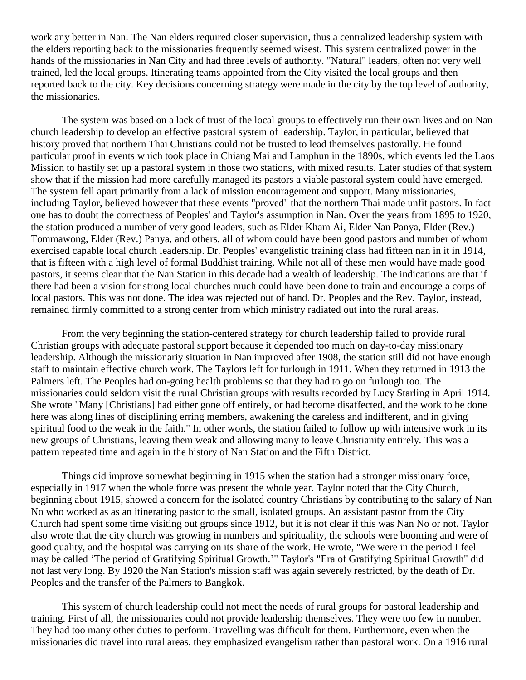work any better in Nan. The Nan elders required closer supervision, thus a centralized leadership system with the elders reporting back to the missionaries frequently seemed wisest. This system centralized power in the hands of the missionaries in Nan City and had three levels of authority. "Natural" leaders, often not very well trained, led the local groups. Itinerating teams appointed from the City visited the local groups and then reported back to the city. Key decisions concerning strategy were made in the city by the top level of authority, the missionaries.

The system was based on a lack of trust of the local groups to effectively run their own lives and on Nan church leadership to develop an effective pastoral system of leadership. Taylor, in particular, believed that history proved that northern Thai Christians could not be trusted to lead themselves pastorally. He found particular proof in events which took place in Chiang Mai and Lamphun in the 1890s, which events led the Laos Mission to hastily set up a pastoral system in those two stations, with mixed results. Later studies of that system show that if the mission had more carefully managed its pastors a viable pastoral system could have emerged. The system fell apart primarily from a lack of mission encouragement and support. Many missionaries, including Taylor, believed however that these events "proved" that the northern Thai made unfit pastors. In fact one has to doubt the correctness of Peoples' and Taylor's assumption in Nan. Over the years from 1895 to 1920, the station produced a number of very good leaders, such as Elder Kham Ai, Elder Nan Panya, Elder (Rev.) Tommawong, Elder (Rev.) Panya, and others, all of whom could have been good pastors and number of whom exercised capable local church leadership. Dr. Peoples' evangelistic training class had fifteen nan in it in 1914, that is fifteen with a high level of formal Buddhist training. While not all of these men would have made good pastors, it seems clear that the Nan Station in this decade had a wealth of leadership. The indications are that if there had been a vision for strong local churches much could have been done to train and encourage a corps of local pastors. This was not done. The idea was rejected out of hand. Dr. Peoples and the Rev. Taylor, instead, remained firmly committed to a strong center from which ministry radiated out into the rural areas.

From the very beginning the station-centered strategy for church leadership failed to provide rural Christian groups with adequate pastoral support because it depended too much on day-to-day missionary leadership. Although the missionariy situation in Nan improved after 1908, the station still did not have enough staff to maintain effective church work. The Taylors left for furlough in 1911. When they returned in 1913 the Palmers left. The Peoples had on-going health problems so that they had to go on furlough too. The missionaries could seldom visit the rural Christian groups with results recorded by Lucy Starling in April 1914. She wrote "Many [Christians] had either gone off entirely, or had become disaffected, and the work to be done here was along lines of disciplining erring members, awakening the careless and indifferent, and in giving spiritual food to the weak in the faith." In other words, the station failed to follow up with intensive work in its new groups of Christians, leaving them weak and allowing many to leave Christianity entirely. This was a pattern repeated time and again in the history of Nan Station and the Fifth District.

Things did improve somewhat beginning in 1915 when the station had a stronger missionary force, especially in 1917 when the whole force was present the whole year. Taylor noted that the City Church, beginning about 1915, showed a concern for the isolated country Christians by contributing to the salary of Nan No who worked as as an itinerating pastor to the small, isolated groups. An assistant pastor from the City Church had spent some time visiting out groups since 1912, but it is not clear if this was Nan No or not. Taylor also wrote that the city church was growing in numbers and spirituality, the schools were booming and were of good quality, and the hospital was carrying on its share of the work. He wrote, "We were in the period I feel may be called 'The period of Gratifying Spiritual Growth.'" Taylor's "Era of Gratifying Spiritual Growth" did not last very long. By 1920 the Nan Station's mission staff was again severely restricted, by the death of Dr. Peoples and the transfer of the Palmers to Bangkok.

This system of church leadership could not meet the needs of rural groups for pastoral leadership and training. First of all, the missionaries could not provide leadership themselves. They were too few in number. They had too many other duties to perform. Travelling was difficult for them. Furthermore, even when the missionaries did travel into rural areas, they emphasized evangelism rather than pastoral work. On a 1916 rural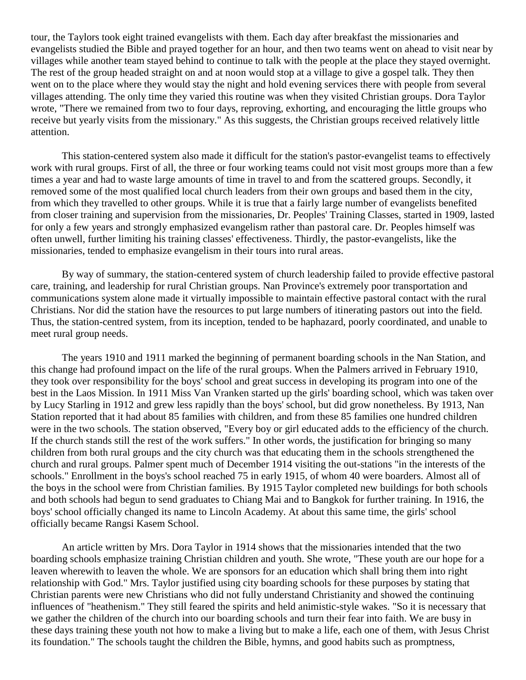tour, the Taylors took eight trained evangelists with them. Each day after breakfast the missionaries and evangelists studied the Bible and prayed together for an hour, and then two teams went on ahead to visit near by villages while another team stayed behind to continue to talk with the people at the place they stayed overnight. The rest of the group headed straight on and at noon would stop at a village to give a gospel talk. They then went on to the place where they would stay the night and hold evening services there with people from several villages attending. The only time they varied this routine was when they visited Christian groups. Dora Taylor wrote, "There we remained from two to four days, reproving, exhorting, and encouraging the little groups who receive but yearly visits from the missionary." As this suggests, the Christian groups received relatively little attention.

This station-centered system also made it difficult for the station's pastor-evangelist teams to effectively work with rural groups. First of all, the three or four working teams could not visit most groups more than a few times a year and had to waste large amounts of time in travel to and from the scattered groups. Secondly, it removed some of the most qualified local church leaders from their own groups and based them in the city, from which they travelled to other groups. While it is true that a fairly large number of evangelists benefited from closer training and supervision from the missionaries, Dr. Peoples' Training Classes, started in 1909, lasted for only a few years and strongly emphasized evangelism rather than pastoral care. Dr. Peoples himself was often unwell, further limiting his training classes' effectiveness. Thirdly, the pastor-evangelists, like the missionaries, tended to emphasize evangelism in their tours into rural areas.

By way of summary, the station-centered system of church leadership failed to provide effective pastoral care, training, and leadership for rural Christian groups. Nan Province's extremely poor transportation and communications system alone made it virtually impossible to maintain effective pastoral contact with the rural Christians. Nor did the station have the resources to put large numbers of itinerating pastors out into the field. Thus, the station-centred system, from its inception, tended to be haphazard, poorly coordinated, and unable to meet rural group needs.

The years 1910 and 1911 marked the beginning of permanent boarding schools in the Nan Station, and this change had profound impact on the life of the rural groups. When the Palmers arrived in February 1910, they took over responsibility for the boys' school and great success in developing its program into one of the best in the Laos Mission. In 1911 Miss Van Vranken started up the girls' boarding school, which was taken over by Lucy Starling in 1912 and grew less rapidly than the boys' school, but did grow nonetheless. By 1913, Nan Station reported that it had about 85 families with children, and from these 85 families one hundred children were in the two schools. The station observed, "Every boy or girl educated adds to the efficiency of the church. If the church stands still the rest of the work suffers." In other words, the justification for bringing so many children from both rural groups and the city church was that educating them in the schools strengthened the church and rural groups. Palmer spent much of December 1914 visiting the out-stations "in the interests of the schools." Enrollment in the boys's school reached 75 in early 1915, of whom 40 were boarders. Almost all of the boys in the school were from Christian families. By 1915 Taylor completed new buildings for both schools and both schools had begun to send graduates to Chiang Mai and to Bangkok for further training. In 1916, the boys' school officially changed its name to Lincoln Academy. At about this same time, the girls' school officially became Rangsi Kasem School.

An article written by Mrs. Dora Taylor in 1914 shows that the missionaries intended that the two boarding schools emphasize training Christian children and youth. She wrote, "These youth are our hope for a leaven wherewith to leaven the whole. We are sponsors for an education which shall bring them into right relationship with God." Mrs. Taylor justified using city boarding schools for these purposes by stating that Christian parents were new Christians who did not fully understand Christianity and showed the continuing influences of "heathenism." They still feared the spirits and held animistic-style wakes. "So it is necessary that we gather the children of the church into our boarding schools and turn their fear into faith. We are busy in these days training these youth not how to make a living but to make a life, each one of them, with Jesus Christ its foundation." The schools taught the children the Bible, hymns, and good habits such as promptness,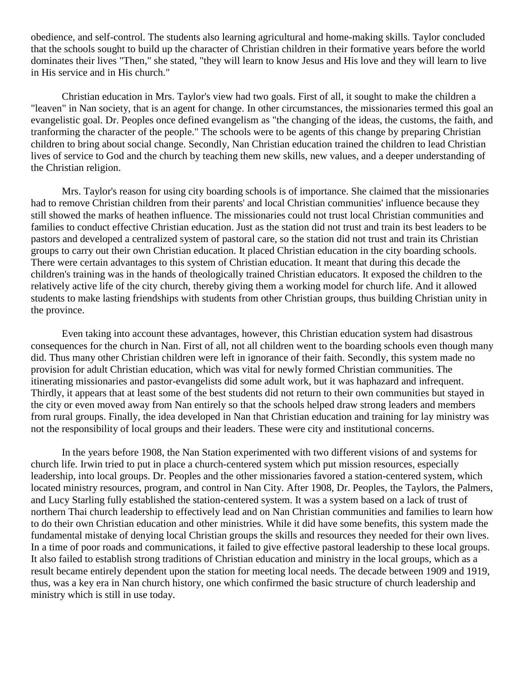obedience, and self-control. The students also learning agricultural and home-making skills. Taylor concluded that the schools sought to build up the character of Christian children in their formative years before the world dominates their lives "Then," she stated, "they will learn to know Jesus and His love and they will learn to live in His service and in His church."

Christian education in Mrs. Taylor's view had two goals. First of all, it sought to make the children a "leaven" in Nan society, that is an agent for change. In other circumstances, the missionaries termed this goal an evangelistic goal. Dr. Peoples once defined evangelism as "the changing of the ideas, the customs, the faith, and tranforming the character of the people." The schools were to be agents of this change by preparing Christian children to bring about social change. Secondly, Nan Christian education trained the children to lead Christian lives of service to God and the church by teaching them new skills, new values, and a deeper understanding of the Christian religion.

Mrs. Taylor's reason for using city boarding schools is of importance. She claimed that the missionaries had to remove Christian children from their parents' and local Christian communities' influence because they still showed the marks of heathen influence. The missionaries could not trust local Christian communities and families to conduct effective Christian education. Just as the station did not trust and train its best leaders to be pastors and developed a centralized system of pastoral care, so the station did not trust and train its Christian groups to carry out their own Christian education. It placed Christian education in the city boarding schools. There were certain advantages to this system of Christian education. It meant that during this decade the children's training was in the hands of theologically trained Christian educators. It exposed the children to the relatively active life of the city church, thereby giving them a working model for church life. And it allowed students to make lasting friendships with students from other Christian groups, thus building Christian unity in the province.

Even taking into account these advantages, however, this Christian education system had disastrous consequences for the church in Nan. First of all, not all children went to the boarding schools even though many did. Thus many other Christian children were left in ignorance of their faith. Secondly, this system made no provision for adult Christian education, which was vital for newly formed Christian communities. The itinerating missionaries and pastor-evangelists did some adult work, but it was haphazard and infrequent. Thirdly, it appears that at least some of the best students did not return to their own communities but stayed in the city or even moved away from Nan entirely so that the schools helped draw strong leaders and members from rural groups. Finally, the idea developed in Nan that Christian education and training for lay ministry was not the responsibility of local groups and their leaders. These were city and institutional concerns.

In the years before 1908, the Nan Station experimented with two different visions of and systems for church life. Irwin tried to put in place a church-centered system which put mission resources, especially leadership, into local groups. Dr. Peoples and the other missionaries favored a station-centered system, which located ministry resources, program, and control in Nan City. After 1908, Dr. Peoples, the Taylors, the Palmers, and Lucy Starling fully established the station-centered system. It was a system based on a lack of trust of northern Thai church leadership to effectively lead and on Nan Christian communities and families to learn how to do their own Christian education and other ministries. While it did have some benefits, this system made the fundamental mistake of denying local Christian groups the skills and resources they needed for their own lives. In a time of poor roads and communications, it failed to give effective pastoral leadership to these local groups. It also failed to establish strong traditions of Christian education and ministry in the local groups, which as a result became entirely dependent upon the station for meeting local needs. The decade between 1909 and 1919, thus, was a key era in Nan church history, one which confirmed the basic structure of church leadership and ministry which is still in use today.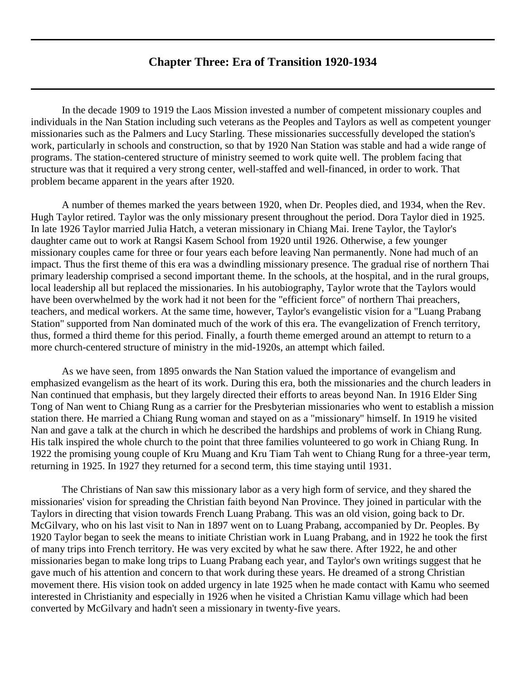## **Chapter Three: Era of Transition 1920-1934**

<span id="page-13-0"></span>In the decade 1909 to 1919 the Laos Mission invested a number of competent missionary couples and individuals in the Nan Station including such veterans as the Peoples and Taylors as well as competent younger missionaries such as the Palmers and Lucy Starling. These missionaries successfully developed the station's work, particularly in schools and construction, so that by 1920 Nan Station was stable and had a wide range of programs. The station-centered structure of ministry seemed to work quite well. The problem facing that structure was that it required a very strong center, well-staffed and well-financed, in order to work. That problem became apparent in the years after 1920.

A number of themes marked the years between 1920, when Dr. Peoples died, and 1934, when the Rev. Hugh Taylor retired. Taylor was the only missionary present throughout the period. Dora Taylor died in 1925. In late 1926 Taylor married Julia Hatch, a veteran missionary in Chiang Mai. Irene Taylor, the Taylor's daughter came out to work at Rangsi Kasem School from 1920 until 1926. Otherwise, a few younger missionary couples came for three or four years each before leaving Nan permanently. None had much of an impact. Thus the first theme of this era was a dwindling missionary presence. The gradual rise of northern Thai primary leadership comprised a second important theme. In the schools, at the hospital, and in the rural groups, local leadership all but replaced the missionaries. In his autobiography, Taylor wrote that the Taylors would have been overwhelmed by the work had it not been for the "efficient force" of northern Thai preachers, teachers, and medical workers. At the same time, however, Taylor's evangelistic vision for a "Luang Prabang Station" supported from Nan dominated much of the work of this era. The evangelization of French territory, thus, formed a third theme for this period. Finally, a fourth theme emerged around an attempt to return to a more church-centered structure of ministry in the mid-1920s, an attempt which failed.

As we have seen, from 1895 onwards the Nan Station valued the importance of evangelism and emphasized evangelism as the heart of its work. During this era, both the missionaries and the church leaders in Nan continued that emphasis, but they largely directed their efforts to areas beyond Nan. In 1916 Elder Sing Tong of Nan went to Chiang Rung as a carrier for the Presbyterian missionaries who went to establish a mission station there. He married a Chiang Rung woman and stayed on as a "missionary" himself. In 1919 he visited Nan and gave a talk at the church in which he described the hardships and problems of work in Chiang Rung. His talk inspired the whole church to the point that three families volunteered to go work in Chiang Rung. In 1922 the promising young couple of Kru Muang and Kru Tiam Tah went to Chiang Rung for a three-year term, returning in 1925. In 1927 they returned for a second term, this time staying until 1931.

The Christians of Nan saw this missionary labor as a very high form of service, and they shared the missionaries' vision for spreading the Christian faith beyond Nan Province. They joined in particular with the Taylors in directing that vision towards French Luang Prabang. This was an old vision, going back to Dr. McGilvary, who on his last visit to Nan in 1897 went on to Luang Prabang, accompanied by Dr. Peoples. By 1920 Taylor began to seek the means to initiate Christian work in Luang Prabang, and in 1922 he took the first of many trips into French territory. He was very excited by what he saw there. After 1922, he and other missionaries began to make long trips to Luang Prabang each year, and Taylor's own writings suggest that he gave much of his attention and concern to that work during these years. He dreamed of a strong Christian movement there. His vision took on added urgency in late 1925 when he made contact with Kamu who seemed interested in Christianity and especially in 1926 when he visited a Christian Kamu village which had been converted by McGilvary and hadn't seen a missionary in twenty-five years.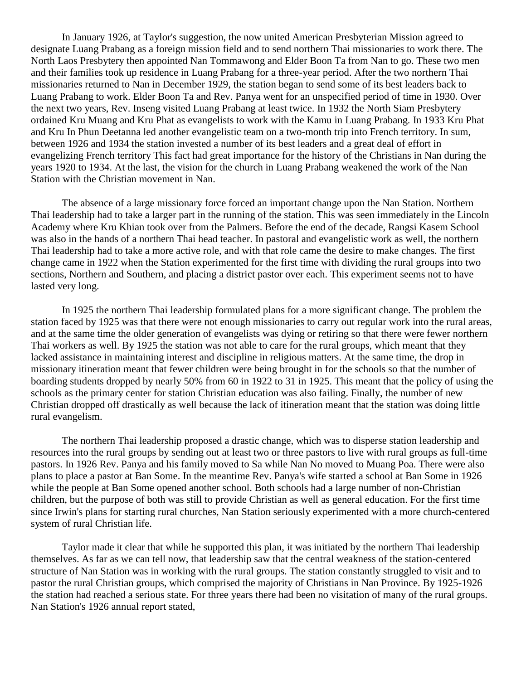In January 1926, at Taylor's suggestion, the now united American Presbyterian Mission agreed to designate Luang Prabang as a foreign mission field and to send northern Thai missionaries to work there. The North Laos Presbytery then appointed Nan Tommawong and Elder Boon Ta from Nan to go. These two men and their families took up residence in Luang Prabang for a three-year period. After the two northern Thai missionaries returned to Nan in December 1929, the station began to send some of its best leaders back to Luang Prabang to work. Elder Boon Ta and Rev. Panya went for an unspecified period of time in 1930. Over the next two years, Rev. Inseng visited Luang Prabang at least twice. In 1932 the North Siam Presbytery ordained Kru Muang and Kru Phat as evangelists to work with the Kamu in Luang Prabang. In 1933 Kru Phat and Kru In Phun Deetanna led another evangelistic team on a two-month trip into French territory. In sum, between 1926 and 1934 the station invested a number of its best leaders and a great deal of effort in evangelizing French territory This fact had great importance for the history of the Christians in Nan during the years 1920 to 1934. At the last, the vision for the church in Luang Prabang weakened the work of the Nan Station with the Christian movement in Nan.

The absence of a large missionary force forced an important change upon the Nan Station. Northern Thai leadership had to take a larger part in the running of the station. This was seen immediately in the Lincoln Academy where Kru Khian took over from the Palmers. Before the end of the decade, Rangsi Kasem School was also in the hands of a northern Thai head teacher. In pastoral and evangelistic work as well, the northern Thai leadership had to take a more active role, and with that role came the desire to make changes. The first change came in 1922 when the Station experimented for the first time with dividing the rural groups into two sections, Northern and Southern, and placing a district pastor over each. This experiment seems not to have lasted very long.

In 1925 the northern Thai leadership formulated plans for a more significant change. The problem the station faced by 1925 was that there were not enough missionaries to carry out regular work into the rural areas, and at the same time the older generation of evangelists was dying or retiring so that there were fewer northern Thai workers as well. By 1925 the station was not able to care for the rural groups, which meant that they lacked assistance in maintaining interest and discipline in religious matters. At the same time, the drop in missionary itineration meant that fewer children were being brought in for the schools so that the number of boarding students dropped by nearly 50% from 60 in 1922 to 31 in 1925. This meant that the policy of using the schools as the primary center for station Christian education was also failing. Finally, the number of new Christian dropped off drastically as well because the lack of itineration meant that the station was doing little rural evangelism.

The northern Thai leadership proposed a drastic change, which was to disperse station leadership and resources into the rural groups by sending out at least two or three pastors to live with rural groups as full-time pastors. In 1926 Rev. Panya and his family moved to Sa while Nan No moved to Muang Poa. There were also plans to place a pastor at Ban Some. In the meantime Rev. Panya's wife started a school at Ban Some in 1926 while the people at Ban Some opened another school. Both schools had a large number of non-Christian children, but the purpose of both was still to provide Christian as well as general education. For the first time since Irwin's plans for starting rural churches, Nan Station seriously experimented with a more church-centered system of rural Christian life.

Taylor made it clear that while he supported this plan, it was initiated by the northern Thai leadership themselves. As far as we can tell now, that leadership saw that the central weakness of the station-centered structure of Nan Station was in working with the rural groups. The station constantly struggled to visit and to pastor the rural Christian groups, which comprised the majority of Christians in Nan Province. By 1925-1926 the station had reached a serious state. For three years there had been no visitation of many of the rural groups. Nan Station's 1926 annual report stated,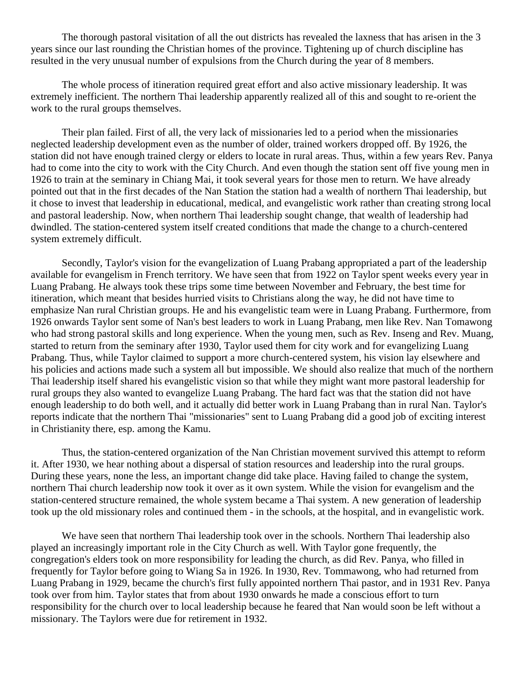The thorough pastoral visitation of all the out districts has revealed the laxness that has arisen in the 3 years since our last rounding the Christian homes of the province. Tightening up of church discipline has resulted in the very unusual number of expulsions from the Church during the year of 8 members.

The whole process of itineration required great effort and also active missionary leadership. It was extremely inefficient. The northern Thai leadership apparently realized all of this and sought to re-orient the work to the rural groups themselves.

Their plan failed. First of all, the very lack of missionaries led to a period when the missionaries neglected leadership development even as the number of older, trained workers dropped off. By 1926, the station did not have enough trained clergy or elders to locate in rural areas. Thus, within a few years Rev. Panya had to come into the city to work with the City Church. And even though the station sent off five young men in 1926 to train at the seminary in Chiang Mai, it took several years for those men to return. We have already pointed out that in the first decades of the Nan Station the station had a wealth of northern Thai leadership, but it chose to invest that leadership in educational, medical, and evangelistic work rather than creating strong local and pastoral leadership. Now, when northern Thai leadership sought change, that wealth of leadership had dwindled. The station-centered system itself created conditions that made the change to a church-centered system extremely difficult.

Secondly, Taylor's vision for the evangelization of Luang Prabang appropriated a part of the leadership available for evangelism in French territory. We have seen that from 1922 on Taylor spent weeks every year in Luang Prabang. He always took these trips some time between November and February, the best time for itineration, which meant that besides hurried visits to Christians along the way, he did not have time to emphasize Nan rural Christian groups. He and his evangelistic team were in Luang Prabang. Furthermore, from 1926 onwards Taylor sent some of Nan's best leaders to work in Luang Prabang, men like Rev. Nan Tomawong who had strong pastoral skills and long experience. When the young men, such as Rev. Inseng and Rev. Muang, started to return from the seminary after 1930, Taylor used them for city work and for evangelizing Luang Prabang. Thus, while Taylor claimed to support a more church-centered system, his vision lay elsewhere and his policies and actions made such a system all but impossible. We should also realize that much of the northern Thai leadership itself shared his evangelistic vision so that while they might want more pastoral leadership for rural groups they also wanted to evangelize Luang Prabang. The hard fact was that the station did not have enough leadership to do both well, and it actually did better work in Luang Prabang than in rural Nan. Taylor's reports indicate that the northern Thai "missionaries" sent to Luang Prabang did a good job of exciting interest in Christianity there, esp. among the Kamu.

Thus, the station-centered organization of the Nan Christian movement survived this attempt to reform it. After 1930, we hear nothing about a dispersal of station resources and leadership into the rural groups. During these years, none the less, an important change did take place. Having failed to change the system, northern Thai church leadership now took it over as it own system. While the vision for evangelism and the station-centered structure remained, the whole system became a Thai system. A new generation of leadership took up the old missionary roles and continued them - in the schools, at the hospital, and in evangelistic work.

We have seen that northern Thai leadership took over in the schools. Northern Thai leadership also played an increasingly important role in the City Church as well. With Taylor gone frequently, the congregation's elders took on more responsibility for leading the church, as did Rev. Panya, who filled in frequently for Taylor before going to Wiang Sa in 1926. In 1930, Rev. Tommawong, who had returned from Luang Prabang in 1929, became the church's first fully appointed northern Thai pastor, and in 1931 Rev. Panya took over from him. Taylor states that from about 1930 onwards he made a conscious effort to turn responsibility for the church over to local leadership because he feared that Nan would soon be left without a missionary. The Taylors were due for retirement in 1932.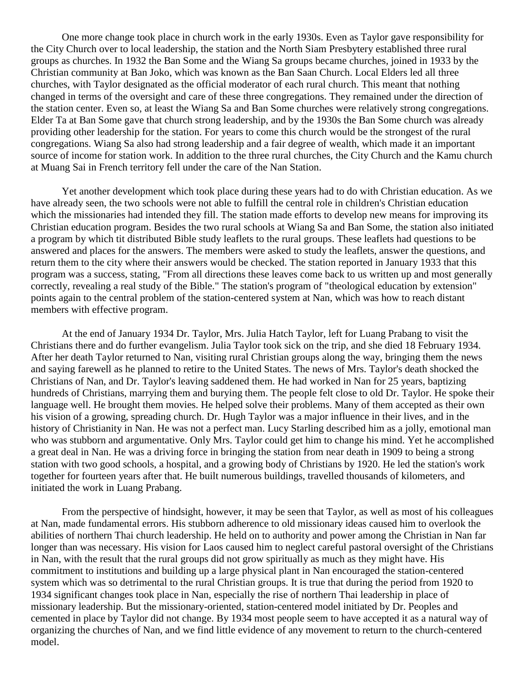One more change took place in church work in the early 1930s. Even as Taylor gave responsibility for the City Church over to local leadership, the station and the North Siam Presbytery established three rural groups as churches. In 1932 the Ban Some and the Wiang Sa groups became churches, joined in 1933 by the Christian community at Ban Joko, which was known as the Ban Saan Church. Local Elders led all three churches, with Taylor designated as the official moderator of each rural church. This meant that nothing changed in terms of the oversight and care of these three congregations. They remained under the direction of the station center. Even so, at least the Wiang Sa and Ban Some churches were relatively strong congregations. Elder Ta at Ban Some gave that church strong leadership, and by the 1930s the Ban Some church was already providing other leadership for the station. For years to come this church would be the strongest of the rural congregations. Wiang Sa also had strong leadership and a fair degree of wealth, which made it an important source of income for station work. In addition to the three rural churches, the City Church and the Kamu church at Muang Sai in French territory fell under the care of the Nan Station.

Yet another development which took place during these years had to do with Christian education. As we have already seen, the two schools were not able to fulfill the central role in children's Christian education which the missionaries had intended they fill. The station made efforts to develop new means for improving its Christian education program. Besides the two rural schools at Wiang Sa and Ban Some, the station also initiated a program by which tit distributed Bible study leaflets to the rural groups. These leaflets had questions to be answered and places for the answers. The members were asked to study the leaflets, answer the questions, and return them to the city where their answers would be checked. The station reported in January 1933 that this program was a success, stating, "From all directions these leaves come back to us written up and most generally correctly, revealing a real study of the Bible." The station's program of "theological education by extension" points again to the central problem of the station-centered system at Nan, which was how to reach distant members with effective program.

At the end of January 1934 Dr. Taylor, Mrs. Julia Hatch Taylor, left for Luang Prabang to visit the Christians there and do further evangelism. Julia Taylor took sick on the trip, and she died 18 February 1934. After her death Taylor returned to Nan, visiting rural Christian groups along the way, bringing them the news and saying farewell as he planned to retire to the United States. The news of Mrs. Taylor's death shocked the Christians of Nan, and Dr. Taylor's leaving saddened them. He had worked in Nan for 25 years, baptizing hundreds of Christians, marrying them and burying them. The people felt close to old Dr. Taylor. He spoke their language well. He brought them movies. He helped solve their problems. Many of them accepted as their own his vision of a growing, spreading church. Dr. Hugh Taylor was a major influence in their lives, and in the history of Christianity in Nan. He was not a perfect man. Lucy Starling described him as a jolly, emotional man who was stubborn and argumentative. Only Mrs. Taylor could get him to change his mind. Yet he accomplished a great deal in Nan. He was a driving force in bringing the station from near death in 1909 to being a strong station with two good schools, a hospital, and a growing body of Christians by 1920. He led the station's work together for fourteen years after that. He built numerous buildings, travelled thousands of kilometers, and initiated the work in Luang Prabang.

From the perspective of hindsight, however, it may be seen that Taylor, as well as most of his colleagues at Nan, made fundamental errors. His stubborn adherence to old missionary ideas caused him to overlook the abilities of northern Thai church leadership. He held on to authority and power among the Christian in Nan far longer than was necessary. His vision for Laos caused him to neglect careful pastoral oversight of the Christians in Nan, with the result that the rural groups did not grow spiritually as much as they might have. His commitment to institutions and building up a large physical plant in Nan encouraged the station-centered system which was so detrimental to the rural Christian groups. It is true that during the period from 1920 to 1934 significant changes took place in Nan, especially the rise of northern Thai leadership in place of missionary leadership. But the missionary-oriented, station-centered model initiated by Dr. Peoples and cemented in place by Taylor did not change. By 1934 most people seem to have accepted it as a natural way of organizing the churches of Nan, and we find little evidence of any movement to return to the church-centered model.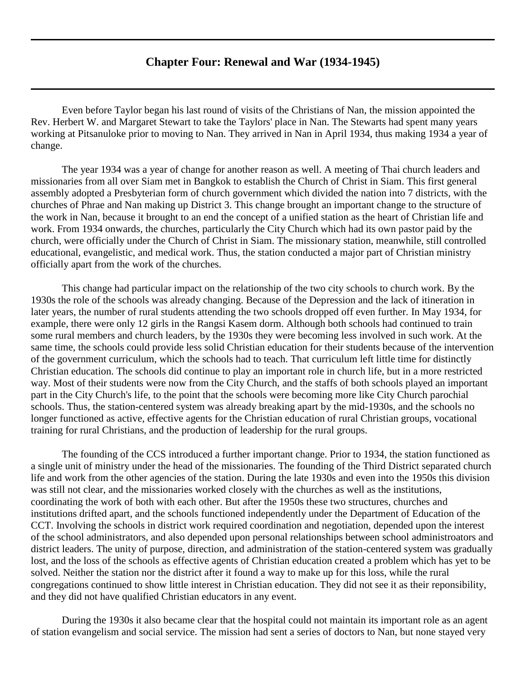## **Chapter Four: Renewal and War (1934-1945)**

<span id="page-17-0"></span>Even before Taylor began his last round of visits of the Christians of Nan, the mission appointed the Rev. Herbert W. and Margaret Stewart to take the Taylors' place in Nan. The Stewarts had spent many years working at Pitsanuloke prior to moving to Nan. They arrived in Nan in April 1934, thus making 1934 a year of change.

The year 1934 was a year of change for another reason as well. A meeting of Thai church leaders and missionaries from all over Siam met in Bangkok to establish the Church of Christ in Siam. This first general assembly adopted a Presbyterian form of church government which divided the nation into 7 districts, with the churches of Phrae and Nan making up District 3. This change brought an important change to the structure of the work in Nan, because it brought to an end the concept of a unified station as the heart of Christian life and work. From 1934 onwards, the churches, particularly the City Church which had its own pastor paid by the church, were officially under the Church of Christ in Siam. The missionary station, meanwhile, still controlled educational, evangelistic, and medical work. Thus, the station conducted a major part of Christian ministry officially apart from the work of the churches.

This change had particular impact on the relationship of the two city schools to church work. By the 1930s the role of the schools was already changing. Because of the Depression and the lack of itineration in later years, the number of rural students attending the two schools dropped off even further. In May 1934, for example, there were only 12 girls in the Rangsi Kasem dorm. Although both schools had continued to train some rural members and church leaders, by the 1930s they were becoming less involved in such work. At the same time, the schools could provide less solid Christian education for their students because of the intervention of the government curriculum, which the schools had to teach. That curriculum left little time for distinctly Christian education. The schools did continue to play an important role in church life, but in a more restricted way. Most of their students were now from the City Church, and the staffs of both schools played an important part in the City Church's life, to the point that the schools were becoming more like City Church parochial schools. Thus, the station-centered system was already breaking apart by the mid-1930s, and the schools no longer functioned as active, effective agents for the Christian education of rural Christian groups, vocational training for rural Christians, and the production of leadership for the rural groups.

The founding of the CCS introduced a further important change. Prior to 1934, the station functioned as a single unit of ministry under the head of the missionaries. The founding of the Third District separated church life and work from the other agencies of the station. During the late 1930s and even into the 1950s this division was still not clear, and the missionaries worked closely with the churches as well as the institutions, coordinating the work of both with each other. But after the 1950s these two structures, churches and institutions drifted apart, and the schools functioned independently under the Department of Education of the CCT. Involving the schools in district work required coordination and negotiation, depended upon the interest of the school administrators, and also depended upon personal relationships between school administroators and district leaders. The unity of purpose, direction, and administration of the station-centered system was gradually lost, and the loss of the schools as effective agents of Christian education created a problem which has yet to be solved. Neither the station nor the district after it found a way to make up for this loss, while the rural congregations continued to show little interest in Christian education. They did not see it as their reponsibility, and they did not have qualified Christian educators in any event.

During the 1930s it also became clear that the hospital could not maintain its important role as an agent of station evangelism and social service. The mission had sent a series of doctors to Nan, but none stayed very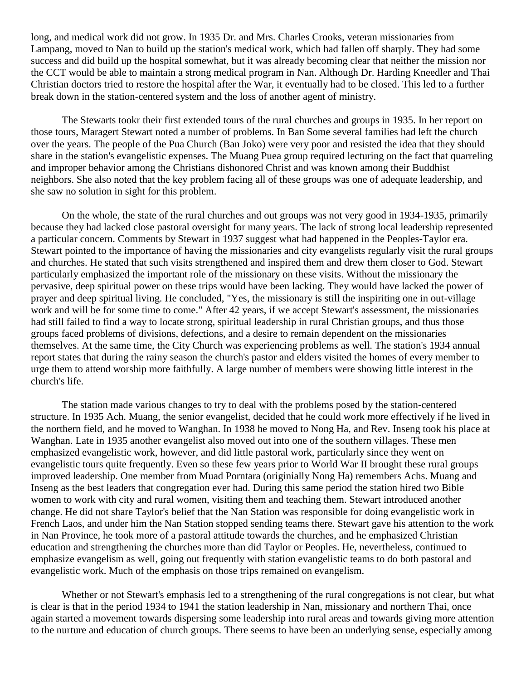long, and medical work did not grow. In 1935 Dr. and Mrs. Charles Crooks, veteran missionaries from Lampang, moved to Nan to build up the station's medical work, which had fallen off sharply. They had some success and did build up the hospital somewhat, but it was already becoming clear that neither the mission nor the CCT would be able to maintain a strong medical program in Nan. Although Dr. Harding Kneedler and Thai Christian doctors tried to restore the hospital after the War, it eventually had to be closed. This led to a further break down in the station-centered system and the loss of another agent of ministry.

The Stewarts tookr their first extended tours of the rural churches and groups in 1935. In her report on those tours, Maragert Stewart noted a number of problems. In Ban Some several families had left the church over the years. The people of the Pua Church (Ban Joko) were very poor and resisted the idea that they should share in the station's evangelistic expenses. The Muang Puea group required lecturing on the fact that quarreling and improper behavior among the Christians dishonored Christ and was known among their Buddhist neighbors. She also noted that the key problem facing all of these groups was one of adequate leadership, and she saw no solution in sight for this problem.

On the whole, the state of the rural churches and out groups was not very good in 1934-1935, primarily because they had lacked close pastoral oversight for many years. The lack of strong local leadership represented a particular concern. Comments by Stewart in 1937 suggest what had happened in the Peoples-Taylor era. Stewart pointed to the importance of having the missionaries and city evangelists regularly visit the rural groups and churches. He stated that such visits strengthened and inspired them and drew them closer to God. Stewart particularly emphasized the important role of the missionary on these visits. Without the missionary the pervasive, deep spiritual power on these trips would have been lacking. They would have lacked the power of prayer and deep spiritual living. He concluded, "Yes, the missionary is still the inspiriting one in out-village work and will be for some time to come." After 42 years, if we accept Stewart's assessment, the missionaries had still failed to find a way to locate strong, spiritual leadership in rural Christian groups, and thus those groups faced problems of divisions, defections, and a desire to remain dependent on the missionaries themselves. At the same time, the City Church was experiencing problems as well. The station's 1934 annual report states that during the rainy season the church's pastor and elders visited the homes of every member to urge them to attend worship more faithfully. A large number of members were showing little interest in the church's life.

The station made various changes to try to deal with the problems posed by the station-centered structure. In 1935 Ach. Muang, the senior evangelist, decided that he could work more effectively if he lived in the northern field, and he moved to Wanghan. In 1938 he moved to Nong Ha, and Rev. Inseng took his place at Wanghan. Late in 1935 another evangelist also moved out into one of the southern villages. These men emphasized evangelistic work, however, and did little pastoral work, particularly since they went on evangelistic tours quite frequently. Even so these few years prior to World War II brought these rural groups improved leadership. One member from Muad Porntara (originially Nong Ha) remembers Achs. Muang and Inseng as the best leaders that congregation ever had. During this same period the station hired two Bible women to work with city and rural women, visiting them and teaching them. Stewart introduced another change. He did not share Taylor's belief that the Nan Station was responsible for doing evangelistic work in French Laos, and under him the Nan Station stopped sending teams there. Stewart gave his attention to the work in Nan Province, he took more of a pastoral attitude towards the churches, and he emphasized Christian education and strengthening the churches more than did Taylor or Peoples. He, nevertheless, continued to emphasize evangelism as well, going out frequently with station evangelistic teams to do both pastoral and evangelistic work. Much of the emphasis on those trips remained on evangelism.

Whether or not Stewart's emphasis led to a strengthening of the rural congregations is not clear, but what is clear is that in the period 1934 to 1941 the station leadership in Nan, missionary and northern Thai, once again started a movement towards dispersing some leadership into rural areas and towards giving more attention to the nurture and education of church groups. There seems to have been an underlying sense, especially among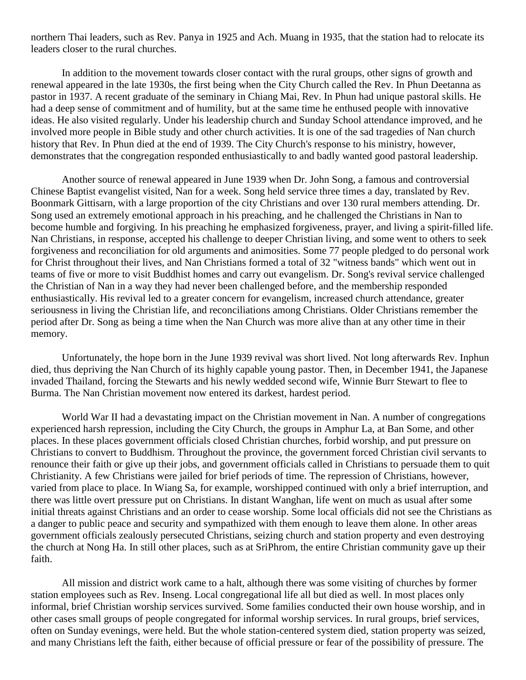northern Thai leaders, such as Rev. Panya in 1925 and Ach. Muang in 1935, that the station had to relocate its leaders closer to the rural churches.

In addition to the movement towards closer contact with the rural groups, other signs of growth and renewal appeared in the late 1930s, the first being when the City Church called the Rev. In Phun Deetanna as pastor in 1937. A recent graduate of the seminary in Chiang Mai, Rev. In Phun had unique pastoral skills. He had a deep sense of commitment and of humility, but at the same time he enthused people with innovative ideas. He also visited regularly. Under his leadership church and Sunday School attendance improved, and he involved more people in Bible study and other church activities. It is one of the sad tragedies of Nan church history that Rev. In Phun died at the end of 1939. The City Church's response to his ministry, however, demonstrates that the congregation responded enthusiastically to and badly wanted good pastoral leadership.

Another source of renewal appeared in June 1939 when Dr. John Song, a famous and controversial Chinese Baptist evangelist visited, Nan for a week. Song held service three times a day, translated by Rev. Boonmark Gittisarn, with a large proportion of the city Christians and over 130 rural members attending. Dr. Song used an extremely emotional approach in his preaching, and he challenged the Christians in Nan to become humble and forgiving. In his preaching he emphasized forgiveness, prayer, and living a spirit-filled life. Nan Christians, in response, accepted his challenge to deeper Christian living, and some went to others to seek forgiveness and reconciliation for old arguments and animosities. Some 77 people pledged to do personal work for Christ throughout their lives, and Nan Christians formed a total of 32 "witness bands" which went out in teams of five or more to visit Buddhist homes and carry out evangelism. Dr. Song's revival service challenged the Christian of Nan in a way they had never been challenged before, and the membership responded enthusiastically. His revival led to a greater concern for evangelism, increased church attendance, greater seriousness in living the Christian life, and reconciliations among Christians. Older Christians remember the period after Dr. Song as being a time when the Nan Church was more alive than at any other time in their memory.

Unfortunately, the hope born in the June 1939 revival was short lived. Not long afterwards Rev. Inphun died, thus depriving the Nan Church of its highly capable young pastor. Then, in December 1941, the Japanese invaded Thailand, forcing the Stewarts and his newly wedded second wife, Winnie Burr Stewart to flee to Burma. The Nan Christian movement now entered its darkest, hardest period.

World War II had a devastating impact on the Christian movement in Nan. A number of congregations experienced harsh repression, including the City Church, the groups in Amphur La, at Ban Some, and other places. In these places government officials closed Christian churches, forbid worship, and put pressure on Christians to convert to Buddhism. Throughout the province, the government forced Christian civil servants to renounce their faith or give up their jobs, and government officials called in Christians to persuade them to quit Christianity. A few Christians were jailed for brief periods of time. The repression of Christians, however, varied from place to place. In Wiang Sa, for example, worshipped continued with only a brief interruption, and there was little overt pressure put on Christians. In distant Wanghan, life went on much as usual after some initial threats against Christians and an order to cease worship. Some local officials did not see the Christians as a danger to public peace and security and sympathized with them enough to leave them alone. In other areas government officials zealously persecuted Christians, seizing church and station property and even destroying the church at Nong Ha. In still other places, such as at SriPhrom, the entire Christian community gave up their faith.

All mission and district work came to a halt, although there was some visiting of churches by former station employees such as Rev. Inseng. Local congregational life all but died as well. In most places only informal, brief Christian worship services survived. Some families conducted their own house worship, and in other cases small groups of people congregated for informal worship services. In rural groups, brief services, often on Sunday evenings, were held. But the whole station-centered system died, station property was seized, and many Christians left the faith, either because of official pressure or fear of the possibility of pressure. The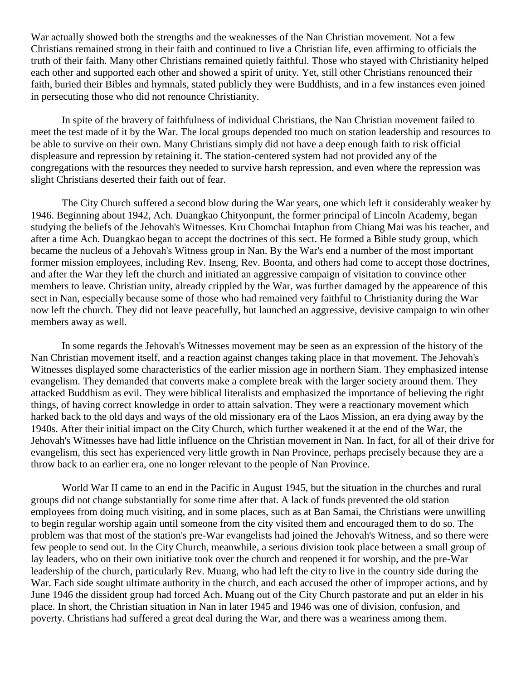War actually showed both the strengths and the weaknesses of the Nan Christian movement. Not a few Christians remained strong in their faith and continued to live a Christian life, even affirming to officials the truth of their faith. Many other Christians remained quietly faithful. Those who stayed with Christianity helped each other and supported each other and showed a spirit of unity. Yet, still other Christians renounced their faith, buried their Bibles and hymnals, stated publicly they were Buddhists, and in a few instances even joined in persecuting those who did not renounce Christianity.

In spite of the bravery of faithfulness of individual Christians, the Nan Christian movement failed to meet the test made of it by the War. The local groups depended too much on station leadership and resources to be able to survive on their own. Many Christians simply did not have a deep enough faith to risk official displeasure and repression by retaining it. The station-centered system had not provided any of the congregations with the resources they needed to survive harsh repression, and even where the repression was slight Christians deserted their faith out of fear.

The City Church suffered a second blow during the War years, one which left it considerably weaker by 1946. Beginning about 1942, Ach. Duangkao Chityonpunt, the former principal of Lincoln Academy, began studying the beliefs of the Jehovah's Witnesses. Kru Chomchai Intaphun from Chiang Mai was his teacher, and after a time Ach. Duangkao began to accept the doctrines of this sect. He formed a Bible study group, which became the nucleus of a Jehovah's Witness group in Nan. By the War's end a number of the most important former mission employees, including Rev. Inseng, Rev. Boonta, and others had come to accept those doctrines, and after the War they left the church and initiated an aggressive campaign of visitation to convince other members to leave. Christian unity, already crippled by the War, was further damaged by the appearence of this sect in Nan, especially because some of those who had remained very faithful to Christianity during the War now left the church. They did not leave peacefully, but launched an aggressive, devisive campaign to win other members away as well.

In some regards the Jehovah's Witnesses movement may be seen as an expression of the history of the Nan Christian movement itself, and a reaction against changes taking place in that movement. The Jehovah's Witnesses displayed some characteristics of the earlier mission age in northern Siam. They emphasized intense evangelism. They demanded that converts make a complete break with the larger society around them. They attacked Buddhism as evil. They were biblical literalists and emphasized the importance of believing the right things, of having correct knowledge in order to attain salvation. They were a reactionary movement which harked back to the old days and ways of the old missionary era of the Laos Mission, an era dying away by the 1940s. After their initial impact on the City Church, which further weakened it at the end of the War, the Jehovah's Witnesses have had little influence on the Christian movement in Nan. In fact, for all of their drive for evangelism, this sect has experienced very little growth in Nan Province, perhaps precisely because they are a throw back to an earlier era, one no longer relevant to the people of Nan Province.

World War II came to an end in the Pacific in August 1945, but the situation in the churches and rural groups did not change substantially for some time after that. A lack of funds prevented the old station employees from doing much visiting, and in some places, such as at Ban Samai, the Christians were unwilling to begin regular worship again until someone from the city visited them and encouraged them to do so. The problem was that most of the station's pre-War evangelists had joined the Jehovah's Witness, and so there were few people to send out. In the City Church, meanwhile, a serious division took place between a small group of lay leaders, who on their own initiative took over the church and reopened it for worship, and the pre-War leadership of the church, particularly Rev. Muang, who had left the city to live in the country side during the War. Each side sought ultimate authority in the church, and each accused the other of improper actions, and by June 1946 the dissident group had forced Ach. Muang out of the City Church pastorate and put an elder in his place. In short, the Christian situation in Nan in later 1945 and 1946 was one of division, confusion, and poverty. Christians had suffered a great deal during the War, and there was a weariness among them.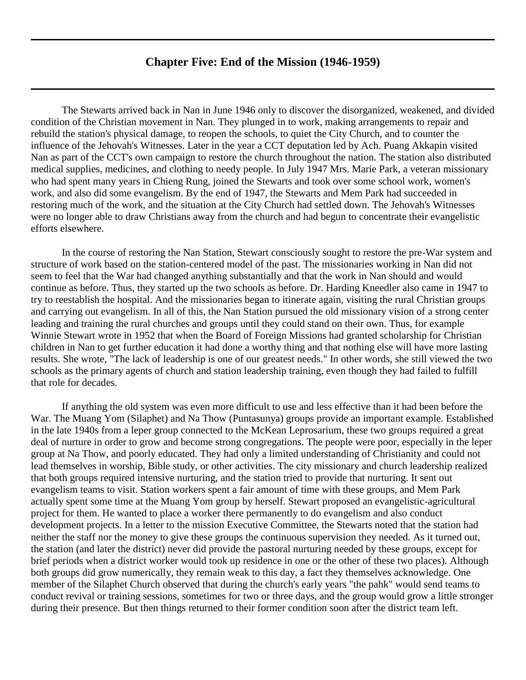## **Chapter Five: End of the Mission (1946-1959)**

<span id="page-21-0"></span>The Stewarts arrived back in Nan in June 1946 only to discover the disorganized, weakened, and divided condition of the Christian movement in Nan. They plunged in to work, making arrangements to repair and rebuild the station's physical damage, to reopen the schools, to quiet the City Church, and to counter the influence of the Jehovah's Witnesses. Later in the year a CCT deputation led by Ach. Puang Akkapin visited Nan as part of the CCT's own campaign to restore the church throughout the nation. The station also distributed medical supplies, medicines, and clothing to needy people. In July 1947 Mrs. Marie Park, a veteran missionary who had spent many years in Chieng Rung, joined the Stewarts and took over some school work, women's work, and also did some evangelism. By the end of 1947, the Stewarts and Mem Park had succeeded in restoring much of the work, and the situation at the City Church had settled down. The Jehovah's Witnesses were no longer able to draw Christians away from the church and had begun to concentrate their evangelistic efforts elsewhere.

In the course of restoring the Nan Station, Stewart consciously sought to restore the pre-War system and structure of work based on the station-centered model of the past. The missionaries working in Nan did not seem to feel that the War had changed anything substantially and that the work in Nan should and would continue as before. Thus, they started up the two schools as before. Dr. Harding Kneedler also came in 1947 to try to reestablish the hospital. And the missionaries began to itinerate again, visiting the rural Christian groups and carrying out evangelism. In all of this, the Nan Station pursued the old missionary vision of a strong center leading and training the rural churches and groups until they could stand on their own. Thus, for example Winnie Stewart wrote in 1952 that when the Board of Foreign Missions had granted scholarship for Christian children in Nan to get further education it had done a worthy thing and that nothing else will have more lasting results. She wrote, "The lack of leadership is one of our greatest needs." In other words, she still viewed the two schools as the primary agents of church and station leadership training, even though they had failed to fulfill that role for decades.

If anything the old system was even more difficult to use and less effective than it had been before the War. The Muang Yom (Silaphet) and Na Thow (Puntasunya) groups provide an important example. Established in the late 1940s from a leper group connected to the McKean Leprosarium, these two groups required a great deal of nurture in order to grow and become strong congregations. The people were poor, especially in the leper group at Na Thow, and poorly educated. They had only a limited understanding of Christianity and could not lead themselves in worship, Bible study, or other activities. The city missionary and church leadership realized that both groups required intensive nurturing, and the station tried to provide that nurturing. It sent out evangelism teams to visit. Station workers spent a fair amount of time with these groups, and Mem Park actually spent some time at the Muang Yom group by herself. Stewart proposed an evangelistic-agricultural project for them. He wanted to place a worker there permanently to do evangelism and also conduct development projects. In a letter to the mission Executive Committee, the Stewarts noted that the station had neither the staff nor the money to give these groups the continuous supervision they needed. As it turned out, the station (and later the district) never did provide the pastoral nurturing needed by these groups, except for brief periods when a district worker would took up residence in one or the other of these two places). Although both groups did grow numerically, they remain weak to this day, a fact they themselves acknowledge. One member of the Silaphet Church observed that during the church's early years "the pahk" would send teams to conduct revival or training sessions, sometimes for two or three days, and the group would grow a little stronger during their presence. But then things returned to their former condition soon after the district team left.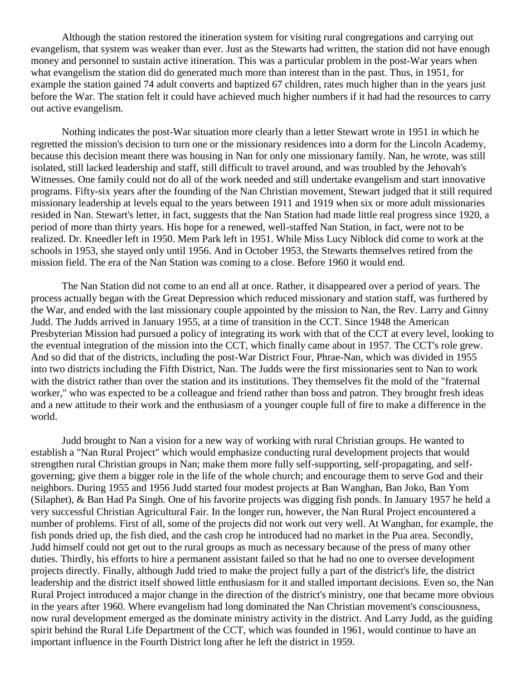Although the station restored the itineration system for visiting rural congregations and carrying out evangelism, that system was weaker than ever. Just as the Stewarts had written, the station did not have enough money and personnel to sustain active itineration. This was a particular problem in the post-War years when what evangelism the station did do generated much more than interest than in the past. Thus, in 1951, for example the station gained 74 adult converts and baptized 67 children, rates much higher than in the years just before the War. The station felt it could have achieved much higher numbers if it had had the resources to carry out active evangelism.

Nothing indicates the post-War situation more clearly than a letter Stewart wrote in 1951 in which he regretted the mission's decision to turn one or the missionary residences into a dorm for the Lincoln Academy, because this decision meant there was housing in Nan for only one missionary family. Nan, he wrote, was still isolated, still lacked leadership and staff, still difficult to travel around, and was troubled by the Jehovah's Witnesses. One family could not do all of the work needed and still undertake evangelism and start innovative programs. Fifty-six years after the founding of the Nan Christian movement, Stewart judged that it still required missionary leadership at levels equal to the years between 1911 and 1919 when six or more adult missionaries resided in Nan. Stewart's letter, in fact, suggests that the Nan Station had made little real progress since 1920, a period of more than thirty years. His hope for a renewed, well-staffed Nan Station, in fact, were not to be realized. Dr. Kneedler left in 1950. Mem Park left in 1951. While Miss Lucy Niblock did come to work at the schools in 1953, she stayed only until 1956. And in October 1953, the Stewarts themselves retired from the mission field. The era of the Nan Station was coming to a close. Before 1960 it would end.

The Nan Station did not come to an end all at once. Rather, it disappeared over a period of years. The process actually began with the Great Depression which reduced missionary and station staff, was furthered by the War, and ended with the last missionary couple appointed by the mission to Nan, the Rev. Larry and Ginny Judd. The Judds arrived in January 1955, at a time of transition in the CCT. Since 1948 the American Presbyterian Mission had pursued a policy of integrating its work with that of the CCT at every level, looking to the eventual integration of the mission into the CCT, which finally came about in 1957. The CCT's role grew. And so did that of the districts, including the post-War District Four, Phrae-Nan, which was divided in 1955 into two districts including the Fifth District, Nan. The Judds were the first missionaries sent to Nan to work with the district rather than over the station and its institutions. They themselves fit the mold of the "fraternal worker," who was expected to be a colleague and friend rather than boss and patron. They brought fresh ideas and a new attitude to their work and the enthusiasm of a younger couple full of fire to make a difference in the world.

Judd brought to Nan a vision for a new way of working with rural Christian groups. He wanted to establish a "Nan Rural Project" which would emphasize conducting rural development projects that would strengthen rural Christian groups in Nan; make them more fully self-supporting, self-propagating, and selfgoverning; give them a bigger role in the life of the whole church; and encourage them to serve God and their neighbors. During 1955 and 1956 Judd started four modest projects at Ban Wanghan, Ban Joko, Ban Yom (Silaphet), & Ban Had Pa Singh. One of his favorite projects was digging fish ponds. In January 1957 he held a very successful Christian Agricultural Fair. In the longer run, however, the Nan Rural Project encountered a number of problems. First of all, some of the projects did not work out very well. At Wanghan, for example, the fish ponds dried up, the fish died, and the cash crop he introduced had no market in the Pua area. Secondly, Judd himself could not get out to the rural groups as much as necessary because of the press of many other duties. Thirdly, his efforts to hire a permanent assistant failed so that he had no one to oversee development projects directly. Finally, although Judd tried to make the project fully a part of the district's life, the district leadership and the district itself showed little enthusiasm for it and stalled important decisions. Even so, the Nan Rural Project introduced a major change in the direction of the district's ministry, one that became more obvious in the years after 1960. Where evangelism had long dominated the Nan Christian movement's consciousness, now rural development emerged as the dominate ministry activity in the district. And Larry Judd, as the guiding spirit behind the Rural Life Department of the CCT, which was founded in 1961, would continue to have an important influence in the Fourth District long after he left the district in 1959.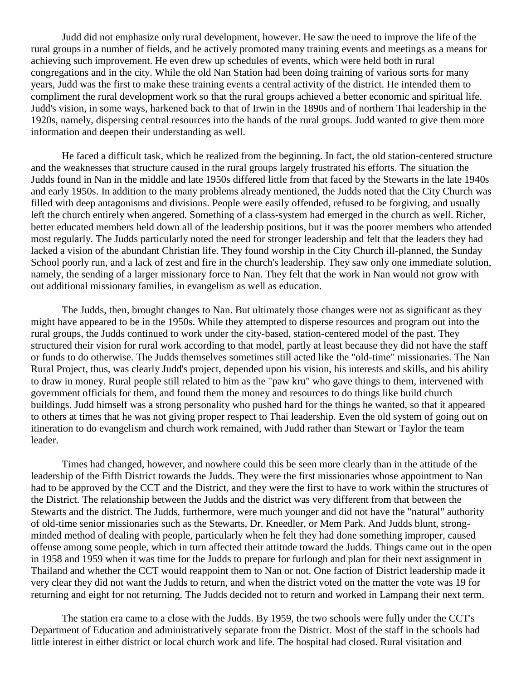Judd did not emphasize only rural development, however. He saw the need to improve the life of the rural groups in a number of fields, and he actively promoted many training events and meetings as a means for achieving such improvement. He even drew up schedules of events, which were held both in rural congregations and in the city. While the old Nan Station had been doing training of various sorts for many years, Judd was the first to make these training events a central activity of the district. He intended them to compliment the rural development work so that the rural groups achieved a better economic and spiritual life. Judd's vision, in some ways, harkened back to that of Irwin in the 1890s and of northern Thai leadership in the 1920s, namely, dispersing central resources into the hands of the rural groups. Judd wanted to give them more information and deepen their understanding as well.

He faced a difficult task, which he realized from the beginning. In fact, the old station-centered structure and the weaknesses that structure caused in the rural groups largely frustrated his efforts. The situation the Judds found in Nan in the middle and late 1950s differed little from that faced by the Stewarts in the late 1940s and early 1950s. In addition to the many problems already mentioned, the Judds noted that the City Church was filled with deep antagonisms and divisions. People were easily offended, refused to be forgiving, and usually left the church entirely when angered. Something of a class-system had emerged in the church as well. Richer, better educated members held down all of the leadership positions, but it was the poorer members who attended most regularly. The Judds particularly noted the need for stronger leadership and felt that the leaders they had lacked a vision of the abundant Christian life. They found worship in the City Church ill-planned, the Sunday School poorly run, and a lack of zest and fire in the church's leadership. They saw only one immediate solution, namely, the sending of a larger missionary force to Nan. They felt that the work in Nan would not grow with out additional missionary families, in evangelism as well as education.

The Judds, then, brought changes to Nan. But ultimately those changes were not as significant as they might have appeared to be in the 1950s. While they attempted to disperse resources and program out into the rural groups, the Judds continued to work under the city-based, station-centered model of the past. They structured their vision for rural work according to that model, partly at least because they did not have the staff or funds to do otherwise. The Judds themselves sometimes still acted like the "old-time" missionaries. The Nan Rural Project, thus, was clearly Judd's project, depended upon his vision, his interests and skills, and his ability to draw in money. Rural people still related to him as the "paw kru" who gave things to them, intervened with government officials for them, and found them the money and resources to do things like build church buildings. Judd himself was a strong personality who pushed hard for the things he wanted, so that it appeared to others at times that he was not giving proper respect to Thai leadership. Even the old system of going out on itineration to do evangelism and church work remained, with Judd rather than Stewart or Taylor the team leader.

Times had changed, however, and nowhere could this be seen more clearly than in the attitude of the leadership of the Fifth District towards the Judds. They were the first missionaries whose appointment to Nan had to be approved by the CCT and the District, and they were the first to have to work within the structures of the District. The relationship between the Judds and the district was very different from that between the Stewarts and the district. The Judds, furthermore, were much younger and did not have the "natural" authority of old-time senior missionaries such as the Stewarts, Dr. Kneedler, or Mem Park. And Judds blunt, strongminded method of dealing with people, particularly when he felt they had done something improper, caused offense among some people, which in turn affected their attitude toward the Judds. Things came out in the open in 1958 and 1959 when it was time for the Judds to prepare for furlough and plan for their next assignment in Thailand and whether the CCT would reappoint them to Nan or not. One faction of District leadership made it very clear they did not want the Judds to return, and when the district voted on the matter the vote was 19 for returning and eight for not returning. The Judds decided not to return and worked in Lampang their next term.

The station era came to a close with the Judds. By 1959, the two schools were fully under the CCT's Department of Education and administratively separate from the District. Most of the staff in the schools had little interest in either district or local church work and life. The hospital had closed. Rural visitation and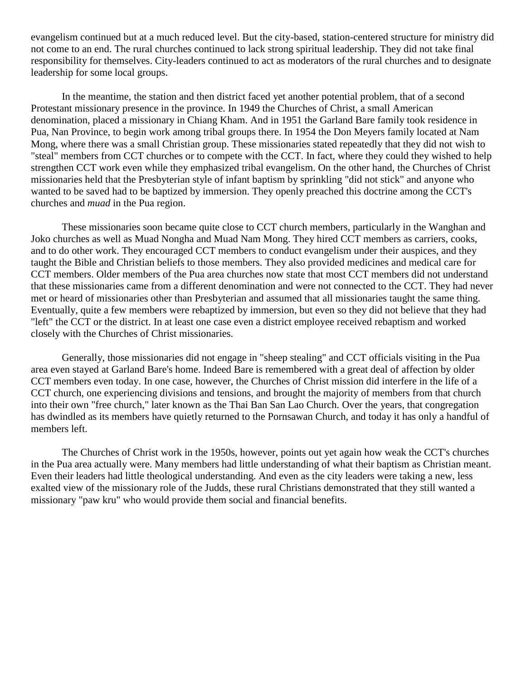evangelism continued but at a much reduced level. But the city-based, station-centered structure for ministry did not come to an end. The rural churches continued to lack strong spiritual leadership. They did not take final responsibility for themselves. City-leaders continued to act as moderators of the rural churches and to designate leadership for some local groups.

In the meantime, the station and then district faced yet another potential problem, that of a second Protestant missionary presence in the province. In 1949 the Churches of Christ, a small American denomination, placed a missionary in Chiang Kham. And in 1951 the Garland Bare family took residence in Pua, Nan Province, to begin work among tribal groups there. In 1954 the Don Meyers family located at Nam Mong, where there was a small Christian group. These missionaries stated repeatedly that they did not wish to "steal" members from CCT churches or to compete with the CCT. In fact, where they could they wished to help strengthen CCT work even while they emphasized tribal evangelism. On the other hand, the Churches of Christ missionaries held that the Presbyterian style of infant baptism by sprinkling "did not stick" and anyone who wanted to be saved had to be baptized by immersion. They openly preached this doctrine among the CCT's churches and *muad* in the Pua region.

These missionaries soon became quite close to CCT church members, particularly in the Wanghan and Joko churches as well as Muad Nongha and Muad Nam Mong. They hired CCT members as carriers, cooks, and to do other work. They encouraged CCT members to conduct evangelism under their auspices, and they taught the Bible and Christian beliefs to those members. They also provided medicines and medical care for CCT members. Older members of the Pua area churches now state that most CCT members did not understand that these missionaries came from a different denomination and were not connected to the CCT. They had never met or heard of missionaries other than Presbyterian and assumed that all missionaries taught the same thing. Eventually, quite a few members were rebaptized by immersion, but even so they did not believe that they had "left" the CCT or the district. In at least one case even a district employee received rebaptism and worked closely with the Churches of Christ missionaries.

Generally, those missionaries did not engage in "sheep stealing" and CCT officials visiting in the Pua area even stayed at Garland Bare's home. Indeed Bare is remembered with a great deal of affection by older CCT members even today. In one case, however, the Churches of Christ mission did interfere in the life of a CCT church, one experiencing divisions and tensions, and brought the majority of members from that church into their own "free church," later known as the Thai Ban San Lao Church. Over the years, that congregation has dwindled as its members have quietly returned to the Pornsawan Church, and today it has only a handful of members left.

The Churches of Christ work in the 1950s, however, points out yet again how weak the CCT's churches in the Pua area actually were. Many members had little understanding of what their baptism as Christian meant. Even their leaders had little theological understanding. And even as the city leaders were taking a new, less exalted view of the missionary role of the Judds, these rural Christians demonstrated that they still wanted a missionary "paw kru" who would provide them social and financial benefits.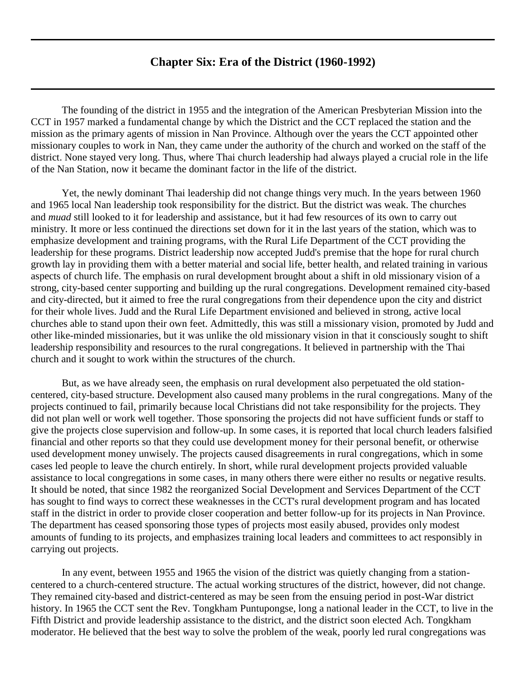## **Chapter Six: Era of the District (1960-1992)**

<span id="page-25-0"></span>The founding of the district in 1955 and the integration of the American Presbyterian Mission into the CCT in 1957 marked a fundamental change by which the District and the CCT replaced the station and the mission as the primary agents of mission in Nan Province. Although over the years the CCT appointed other missionary couples to work in Nan, they came under the authority of the church and worked on the staff of the district. None stayed very long. Thus, where Thai church leadership had always played a crucial role in the life of the Nan Station, now it became the dominant factor in the life of the district.

Yet, the newly dominant Thai leadership did not change things very much. In the years between 1960 and 1965 local Nan leadership took responsibility for the district. But the district was weak. The churches and *muad* still looked to it for leadership and assistance, but it had few resources of its own to carry out ministry. It more or less continued the directions set down for it in the last years of the station, which was to emphasize development and training programs, with the Rural Life Department of the CCT providing the leadership for these programs. District leadership now accepted Judd's premise that the hope for rural church growth lay in providing them with a better material and social life, better health, and related training in various aspects of church life. The emphasis on rural development brought about a shift in old missionary vision of a strong, city-based center supporting and building up the rural congregations. Development remained city-based and city-directed, but it aimed to free the rural congregations from their dependence upon the city and district for their whole lives. Judd and the Rural Life Department envisioned and believed in strong, active local churches able to stand upon their own feet. Admittedly, this was still a missionary vision, promoted by Judd and other like-minded missionaries, but it was unlike the old missionary vision in that it consciously sought to shift leadership responsibility and resources to the rural congregations. It believed in partnership with the Thai church and it sought to work within the structures of the church.

But, as we have already seen, the emphasis on rural development also perpetuated the old stationcentered, city-based structure. Development also caused many problems in the rural congregations. Many of the projects continued to fail, primarily because local Christians did not take responsibility for the projects. They did not plan well or work well together. Those sponsoring the projects did not have sufficient funds or staff to give the projects close supervision and follow-up. In some cases, it is reported that local church leaders falsified financial and other reports so that they could use development money for their personal benefit, or otherwise used development money unwisely. The projects caused disagreements in rural congregations, which in some cases led people to leave the church entirely. In short, while rural development projects provided valuable assistance to local congregations in some cases, in many others there were either no results or negative results. It should be noted, that since 1982 the reorganized Social Development and Services Department of the CCT has sought to find ways to correct these weaknesses in the CCT's rural development program and has located staff in the district in order to provide closer cooperation and better follow-up for its projects in Nan Province. The department has ceased sponsoring those types of projects most easily abused, provides only modest amounts of funding to its projects, and emphasizes training local leaders and committees to act responsibly in carrying out projects.

In any event, between 1955 and 1965 the vision of the district was quietly changing from a stationcentered to a church-centered structure. The actual working structures of the district, however, did not change. They remained city-based and district-centered as may be seen from the ensuing period in post-War district history. In 1965 the CCT sent the Rev. Tongkham Puntupongse, long a national leader in the CCT, to live in the Fifth District and provide leadership assistance to the district, and the district soon elected Ach. Tongkham moderator. He believed that the best way to solve the problem of the weak, poorly led rural congregations was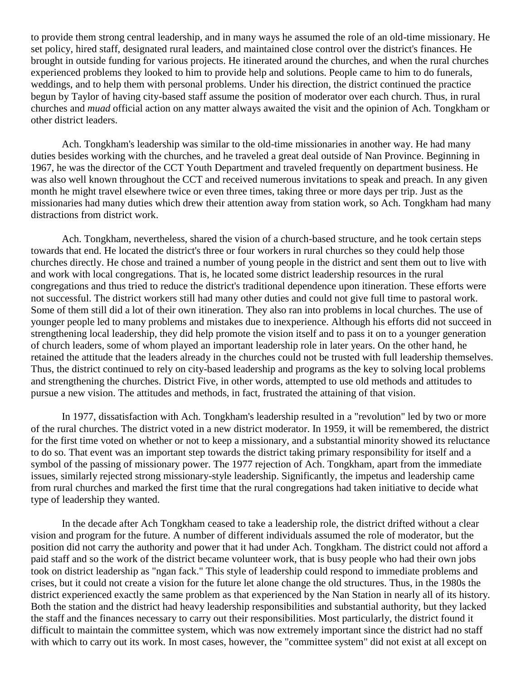to provide them strong central leadership, and in many ways he assumed the role of an old-time missionary. He set policy, hired staff, designated rural leaders, and maintained close control over the district's finances. He brought in outside funding for various projects. He itinerated around the churches, and when the rural churches experienced problems they looked to him to provide help and solutions. People came to him to do funerals, weddings, and to help them with personal problems. Under his direction, the district continued the practice begun by Taylor of having city-based staff assume the position of moderator over each church. Thus, in rural churches and *muad* official action on any matter always awaited the visit and the opinion of Ach. Tongkham or other district leaders.

Ach. Tongkham's leadership was similar to the old-time missionaries in another way. He had many duties besides working with the churches, and he traveled a great deal outside of Nan Province. Beginning in 1967, he was the director of the CCT Youth Department and traveled frequently on department business. He was also well known throughout the CCT and received numerous invitations to speak and preach. In any given month he might travel elsewhere twice or even three times, taking three or more days per trip. Just as the missionaries had many duties which drew their attention away from station work, so Ach. Tongkham had many distractions from district work.

Ach. Tongkham, nevertheless, shared the vision of a church-based structure, and he took certain steps towards that end. He located the district's three or four workers in rural churches so they could help those churches directly. He chose and trained a number of young people in the district and sent them out to live with and work with local congregations. That is, he located some district leadership resources in the rural congregations and thus tried to reduce the district's traditional dependence upon itineration. These efforts were not successful. The district workers still had many other duties and could not give full time to pastoral work. Some of them still did a lot of their own itineration. They also ran into problems in local churches. The use of younger people led to many problems and mistakes due to inexperience. Although his efforts did not succeed in strengthening local leadership, they did help promote the vision itself and to pass it on to a younger generation of church leaders, some of whom played an important leadership role in later years. On the other hand, he retained the attitude that the leaders already in the churches could not be trusted with full leadership themselves. Thus, the district continued to rely on city-based leadership and programs as the key to solving local problems and strengthening the churches. District Five, in other words, attempted to use old methods and attitudes to pursue a new vision. The attitudes and methods, in fact, frustrated the attaining of that vision.

In 1977, dissatisfaction with Ach. Tongkham's leadership resulted in a "revolution" led by two or more of the rural churches. The district voted in a new district moderator. In 1959, it will be remembered, the district for the first time voted on whether or not to keep a missionary, and a substantial minority showed its reluctance to do so. That event was an important step towards the district taking primary responsibility for itself and a symbol of the passing of missionary power. The 1977 rejection of Ach. Tongkham, apart from the immediate issues, similarly rejected strong missionary-style leadership. Significantly, the impetus and leadership came from rural churches and marked the first time that the rural congregations had taken initiative to decide what type of leadership they wanted.

In the decade after Ach Tongkham ceased to take a leadership role, the district drifted without a clear vision and program for the future. A number of different individuals assumed the role of moderator, but the position did not carry the authority and power that it had under Ach. Tongkham. The district could not afford a paid staff and so the work of the district became volunteer work, that is busy people who had their own jobs took on district leadership as "ngan fack." This style of leadership could respond to immediate problems and crises, but it could not create a vision for the future let alone change the old structures. Thus, in the 1980s the district experienced exactly the same problem as that experienced by the Nan Station in nearly all of its history. Both the station and the district had heavy leadership responsibilities and substantial authority, but they lacked the staff and the finances necessary to carry out their responsibilities. Most particularly, the district found it difficult to maintain the committee system, which was now extremely important since the district had no staff with which to carry out its work. In most cases, however, the "committee system" did not exist at all except on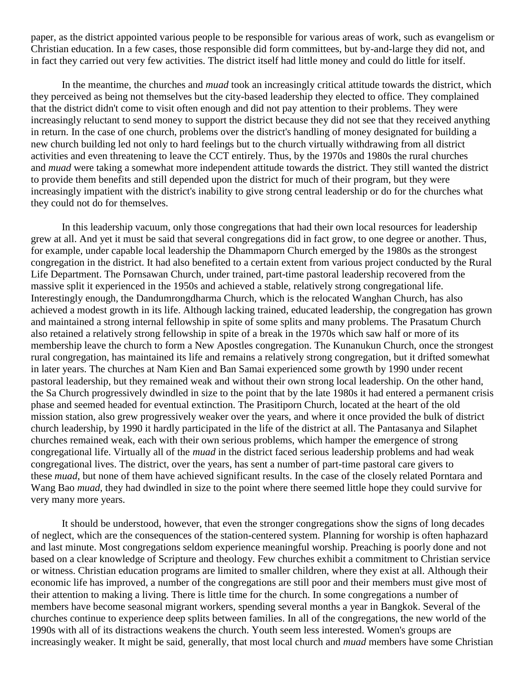paper, as the district appointed various people to be responsible for various areas of work, such as evangelism or Christian education. In a few cases, those responsible did form committees, but by-and-large they did not, and in fact they carried out very few activities. The district itself had little money and could do little for itself.

In the meantime, the churches and *muad* took an increasingly critical attitude towards the district, which they perceived as being not themselves but the city-based leadership they elected to office. They complained that the district didn't come to visit often enough and did not pay attention to their problems. They were increasingly reluctant to send money to support the district because they did not see that they received anything in return. In the case of one church, problems over the district's handling of money designated for building a new church building led not only to hard feelings but to the church virtually withdrawing from all district activities and even threatening to leave the CCT entirely. Thus, by the 1970s and 1980s the rural churches and *muad* were taking a somewhat more independent attitude towards the district. They still wanted the district to provide them benefits and still depended upon the district for much of their program, but they were increasingly impatient with the district's inability to give strong central leadership or do for the churches what they could not do for themselves.

In this leadership vacuum, only those congregations that had their own local resources for leadership grew at all. And yet it must be said that several congregations did in fact grow, to one degree or another. Thus, for example, under capable local leadership the Dhammaporn Church emerged by the 1980s as the strongest congregation in the district. It had also benefited to a certain extent from various project conducted by the Rural Life Department. The Pornsawan Church, under trained, part-time pastoral leadership recovered from the massive split it experienced in the 1950s and achieved a stable, relatively strong congregational life. Interestingly enough, the Dandumrongdharma Church, which is the relocated Wanghan Church, has also achieved a modest growth in its life. Although lacking trained, educated leadership, the congregation has grown and maintained a strong internal fellowship in spite of some splits and many problems. The Prasatum Church also retained a relatively strong fellowship in spite of a break in the 1970s which saw half or more of its membership leave the church to form a New Apostles congregation. The Kunanukun Church, once the strongest rural congregation, has maintained its life and remains a relatively strong congregation, but it drifted somewhat in later years. The churches at Nam Kien and Ban Samai experienced some growth by 1990 under recent pastoral leadership, but they remained weak and without their own strong local leadership. On the other hand, the Sa Church progressively dwindled in size to the point that by the late 1980s it had entered a permanent crisis phase and seemed headed for eventual extinction. The Prasitiporn Church, located at the heart of the old mission station, also grew progressively weaker over the years, and where it once provided the bulk of district church leadership, by 1990 it hardly participated in the life of the district at all. The Pantasanya and Silaphet churches remained weak, each with their own serious problems, which hamper the emergence of strong congregational life. Virtually all of the *muad* in the district faced serious leadership problems and had weak congregational lives. The district, over the years, has sent a number of part-time pastoral care givers to these *muad*, but none of them have achieved significant results. In the case of the closely related Porntara and Wang Bao *muad*, they had dwindled in size to the point where there seemed little hope they could survive for very many more years.

It should be understood, however, that even the stronger congregations show the signs of long decades of neglect, which are the consequences of the station-centered system. Planning for worship is often haphazard and last minute. Most congregations seldom experience meaningful worship. Preaching is poorly done and not based on a clear knowledge of Scripture and theology. Few churches exhibit a commitment to Christian service or witness. Christian education programs are limited to smaller children, where they exist at all. Although their economic life has improved, a number of the congregations are still poor and their members must give most of their attention to making a living. There is little time for the church. In some congregations a number of members have become seasonal migrant workers, spending several months a year in Bangkok. Several of the churches continue to experience deep splits between families. In all of the congregations, the new world of the 1990s with all of its distractions weakens the church. Youth seem less interested. Women's groups are increasingly weaker. It might be said, generally, that most local church and *muad* members have some Christian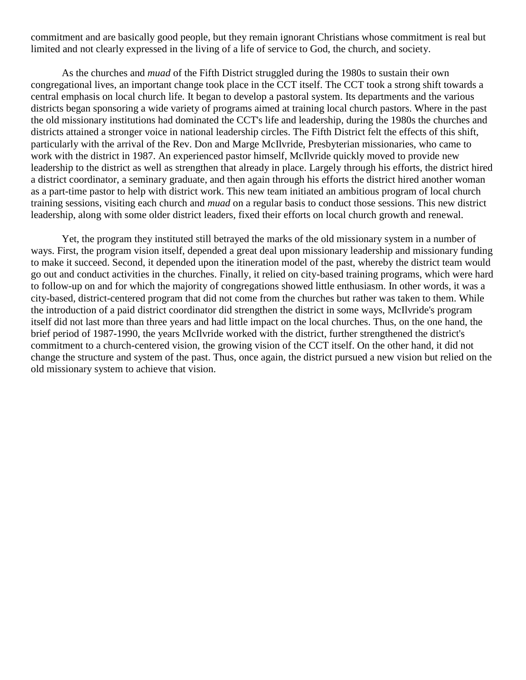commitment and are basically good people, but they remain ignorant Christians whose commitment is real but limited and not clearly expressed in the living of a life of service to God, the church, and society.

As the churches and *muad* of the Fifth District struggled during the 1980s to sustain their own congregational lives, an important change took place in the CCT itself. The CCT took a strong shift towards a central emphasis on local church life. It began to develop a pastoral system. Its departments and the various districts began sponsoring a wide variety of programs aimed at training local church pastors. Where in the past the old missionary institutions had dominated the CCT's life and leadership, during the 1980s the churches and districts attained a stronger voice in national leadership circles. The Fifth District felt the effects of this shift, particularly with the arrival of the Rev. Don and Marge McIlvride, Presbyterian missionaries, who came to work with the district in 1987. An experienced pastor himself, McIlvride quickly moved to provide new leadership to the district as well as strengthen that already in place. Largely through his efforts, the district hired a district coordinator, a seminary graduate, and then again through his efforts the district hired another woman as a part-time pastor to help with district work. This new team initiated an ambitious program of local church training sessions, visiting each church and *muad* on a regular basis to conduct those sessions. This new district leadership, along with some older district leaders, fixed their efforts on local church growth and renewal.

Yet, the program they instituted still betrayed the marks of the old missionary system in a number of ways. First, the program vision itself, depended a great deal upon missionary leadership and missionary funding to make it succeed. Second, it depended upon the itineration model of the past, whereby the district team would go out and conduct activities in the churches. Finally, it relied on city-based training programs, which were hard to follow-up on and for which the majority of congregations showed little enthusiasm. In other words, it was a city-based, district-centered program that did not come from the churches but rather was taken to them. While the introduction of a paid district coordinator did strengthen the district in some ways, McIlvride's program itself did not last more than three years and had little impact on the local churches. Thus, on the one hand, the brief period of 1987-1990, the years McIlvride worked with the district, further strengthened the district's commitment to a church-centered vision, the growing vision of the CCT itself. On the other hand, it did not change the structure and system of the past. Thus, once again, the district pursued a new vision but relied on the old missionary system to achieve that vision.